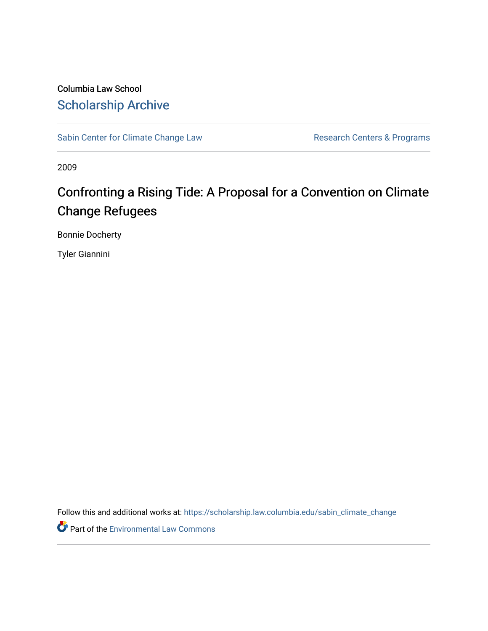Columbia Law School [Scholarship Archive](https://scholarship.law.columbia.edu/) 

[Sabin Center for Climate Change Law](https://scholarship.law.columbia.edu/sabin_climate_change) Research Centers & Programs

2009

# Confronting a Rising Tide: A Proposal for a Convention on Climate Change Refugees

Bonnie Docherty

Tyler Giannini

Follow this and additional works at: [https://scholarship.law.columbia.edu/sabin\\_climate\\_change](https://scholarship.law.columbia.edu/sabin_climate_change?utm_source=scholarship.law.columbia.edu%2Fsabin_climate_change%2F179&utm_medium=PDF&utm_campaign=PDFCoverPages) 

**Part of the [Environmental Law Commons](http://network.bepress.com/hgg/discipline/599?utm_source=scholarship.law.columbia.edu%2Fsabin_climate_change%2F179&utm_medium=PDF&utm_campaign=PDFCoverPages)**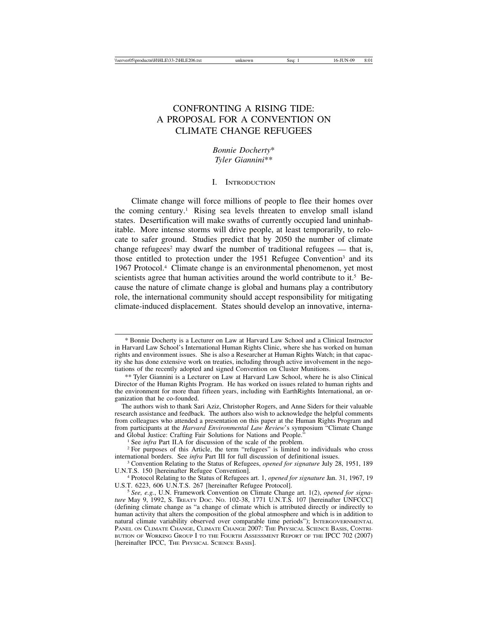## CONFRONTING A RISING TIDE: A PROPOSAL FOR A CONVENTION ON CLIMATE CHANGE REFUGEES

*Bonnie Docherty*\* *Tyler Giannini*\*\*

#### I. INTRODUCTION

Climate change will force millions of people to flee their homes over the coming century.1 Rising sea levels threaten to envelop small island states. Desertification will make swaths of currently occupied land uninhabitable. More intense storms will drive people, at least temporarily, to relocate to safer ground. Studies predict that by 2050 the number of climate change refugees<sup>2</sup> may dwarf the number of traditional refugees  $-$  that is, those entitled to protection under the 1951 Refugee Convention<sup>3</sup> and its 1967 Protocol.4 Climate change is an environmental phenomenon, yet most scientists agree that human activities around the world contribute to it.<sup>5</sup> Because the nature of climate change is global and humans play a contributory role, the international community should accept responsibility for mitigating climate-induced displacement. States should develop an innovative, interna-

<sup>\*</sup> Bonnie Docherty is a Lecturer on Law at Harvard Law School and a Clinical Instructor in Harvard Law School's International Human Rights Clinic, where she has worked on human rights and environment issues. She is also a Researcher at Human Rights Watch; in that capacity she has done extensive work on treaties, including through active involvement in the negotiations of the recently adopted and signed Convention on Cluster Munitions.

<sup>\*\*</sup> Tyler Giannini is a Lecturer on Law at Harvard Law School, where he is also Clinical Director of the Human Rights Program. He has worked on issues related to human rights and the environment for more than fifteen years, including with EarthRights International, an organization that he co-founded.

The authors wish to thank Sari Aziz, Christopher Rogers, and Anne Siders for their valuable research assistance and feedback. The authors also wish to acknowledge the helpful comments from colleagues who attended a presentation on this paper at the Human Rights Program and from participants at the *Harvard Environmental Law Review's* symposium "Climate Change and Global Justice: Crafting Fair Solutions for Nations and People."

<sup>&</sup>lt;sup>1</sup> See *infra* Part II.A for discussion of the scale of the problem.<br><sup>2</sup> For purposes of this Article, the term "refugees" is limited to individuals who cross international borders. See *infra* Part III for full discussi

<sup>&</sup>lt;sup>3</sup> Convention Relating to the Status of Refugees, *opened for signature* July 28, 1951, 189 U.N.T.S. 150 [hereinafter Refugee Convention].

<sup>&</sup>lt;sup>4</sup> Protocol Relating to the Status of Refugees art. 1, *opened for signature* Jan. 31, 1967, 19 U.S.T. 6223, 606 U.N.T.S. 267 [hereinafter Refugee Protocol].

<sup>&</sup>lt;sup>5</sup> See, e.g., U.N. Framework Convention on Climate Change art. 1(2), *opened for signature* May 9, 1992, S. TREATY DOC. NO. 102-38, 1771 U.N.T.S. 107 [hereinafter UNFCCC] (defining climate change as "a change of climate which is attributed directly or indirectly to human activity that alters the composition of the global atmosphere and which is in addition to natural climate variability observed over comparable time periods"); INTERGOVERNMENTAL PANEL ON CLIMATE CHANGE, CLIMATE CHANGE 2007: THE PHYSICAL SCIENCE BASIS, CONTRI-BUTION OF WORKING GROUP I TO THE FOURTH ASSESSMENT REPORT OF THE IPCC 702 (2007) [hereinafter IPCC, THE PHYSICAL SCIENCE BASIS].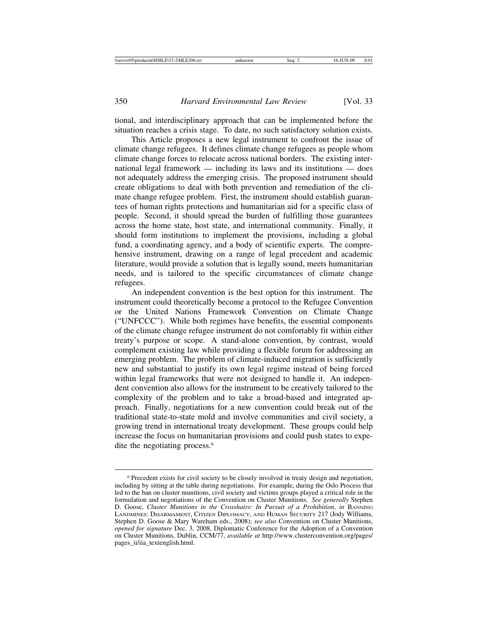tional, and interdisciplinary approach that can be implemented before the situation reaches a crisis stage. To date, no such satisfactory solution exists.

This Article proposes a new legal instrument to confront the issue of climate change refugees. It defines climate change refugees as people whom climate change forces to relocate across national borders. The existing international legal framework — including its laws and its institutions — does not adequately address the emerging crisis. The proposed instrument should create obligations to deal with both prevention and remediation of the climate change refugee problem. First, the instrument should establish guarantees of human rights protections and humanitarian aid for a specific class of people. Second, it should spread the burden of fulfilling those guarantees across the home state, host state, and international community. Finally, it should form institutions to implement the provisions, including a global fund, a coordinating agency, and a body of scientific experts. The comprehensive instrument, drawing on a range of legal precedent and academic literature, would provide a solution that is legally sound, meets humanitarian needs, and is tailored to the specific circumstances of climate change refugees.

An independent convention is the best option for this instrument. The instrument could theoretically become a protocol to the Refugee Convention or the United Nations Framework Convention on Climate Change ("UNFCCC"). While both regimes have benefits, the essential components of the climate change refugee instrument do not comfortably fit within either treaty's purpose or scope. A stand-alone convention, by contrast, would complement existing law while providing a flexible forum for addressing an emerging problem. The problem of climate-induced migration is sufficiently new and substantial to justify its own legal regime instead of being forced within legal frameworks that were not designed to handle it. An independent convention also allows for the instrument to be creatively tailored to the complexity of the problem and to take a broad-based and integrated approach. Finally, negotiations for a new convention could break out of the traditional state-to-state mold and involve communities and civil society, a growing trend in international treaty development. These groups could help increase the focus on humanitarian provisions and could push states to expedite the negotiating process.<sup>6</sup>

<sup>6</sup> Precedent exists for civil society to be closely involved in treaty design and negotiation, including by sitting at the table during negotiations. For example, during the Oslo Process that led to the ban on cluster munitions, civil society and victims groups played a critical role in the formulation and negotiations of the Convention on Cluster Munitions. *See generally* Stephen D. Goose, *Cluster Munitions in the Crosshairs: In Pursuit of a Prohibition, in BANNING* LANDMINES: DISARMAMENT, CITIZEN DIPLOMACY, AND HUMAN SECURITY 217 (Jody Williams, Stephen D. Goose & Mary Wareham eds., 2008); *see also* Convention on Cluster Munitions, *opened for signature* Dec. 3, 2008, Diplomatic Conference for the Adoption of a Convention on Cluster Munitions, Dublin, CCM/77, *available at* http://www.clusterconvention.org/pages/ pages\_ii/iia\_textenglish.html.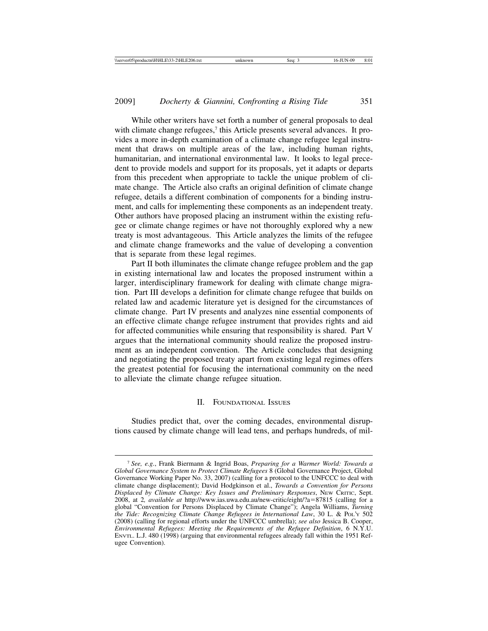While other writers have set forth a number of general proposals to deal with climate change refugees,<sup>7</sup> this Article presents several advances. It provides a more in-depth examination of a climate change refugee legal instrument that draws on multiple areas of the law, including human rights, humanitarian, and international environmental law. It looks to legal precedent to provide models and support for its proposals, yet it adapts or departs from this precedent when appropriate to tackle the unique problem of climate change. The Article also crafts an original definition of climate change refugee, details a different combination of components for a binding instrument, and calls for implementing these components as an independent treaty. Other authors have proposed placing an instrument within the existing refugee or climate change regimes or have not thoroughly explored why a new treaty is most advantageous. This Article analyzes the limits of the refugee and climate change frameworks and the value of developing a convention that is separate from these legal regimes.

Part II both illuminates the climate change refugee problem and the gap in existing international law and locates the proposed instrument within a larger, interdisciplinary framework for dealing with climate change migration. Part III develops a definition for climate change refugee that builds on related law and academic literature yet is designed for the circumstances of climate change. Part IV presents and analyzes nine essential components of an effective climate change refugee instrument that provides rights and aid for affected communities while ensuring that responsibility is shared. Part V argues that the international community should realize the proposed instrument as an independent convention. The Article concludes that designing and negotiating the proposed treaty apart from existing legal regimes offers the greatest potential for focusing the international community on the need to alleviate the climate change refugee situation.

#### II. FOUNDATIONAL ISSUES

Studies predict that, over the coming decades, environmental disruptions caused by climate change will lead tens, and perhaps hundreds, of mil-

<sup>7</sup> *See, e.g.*, Frank Biermann & Ingrid Boas, *Preparing for a Warmer World: Towards a Global Governance System to Protect Climate Refugees* 8 (Global Governance Project, Global Governance Working Paper No. 33, 2007) (calling for a protocol to the UNFCCC to deal with climate change displacement); David Hodgkinson et al., *Towards a Convention for Persons Displaced by Climate Change: Key Issues and Preliminary Responses*, NEW CRITIC, Sept. 2008, at 2*, available at* http://www.ias.uwa.edu.au/new-critic/eight/?a=87815 (calling for a global "Convention for Persons Displaced by Climate Change"); Angela Williams, *Turning the Tide: Recognizing Climate Change Refugees in International Law*, 30 L. & POL'Y 502 (2008) (calling for regional efforts under the UNFCCC umbrella); *see also* Jessica B. Cooper, *Environmental Refugees: Meeting the Requirements of the Refugee Definition*, 6 N.Y.U. ENVTL. L.J. 480 (1998) (arguing that environmental refugees already fall within the 1951 Refugee Convention).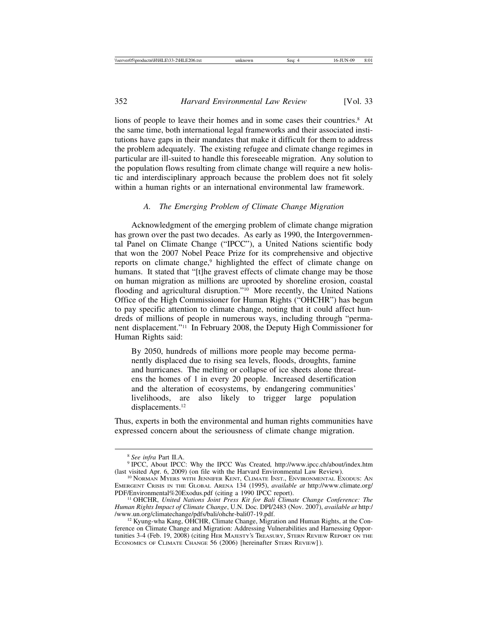lions of people to leave their homes and in some cases their countries.<sup>8</sup> At the same time, both international legal frameworks and their associated institutions have gaps in their mandates that make it difficult for them to address the problem adequately. The existing refugee and climate change regimes in particular are ill-suited to handle this foreseeable migration. Any solution to the population flows resulting from climate change will require a new holistic and interdisciplinary approach because the problem does not fit solely within a human rights or an international environmental law framework.

## *A. The Emerging Problem of Climate Change Migration*

Acknowledgment of the emerging problem of climate change migration has grown over the past two decades. As early as 1990, the Intergovernmental Panel on Climate Change ("IPCC"), a United Nations scientific body that won the 2007 Nobel Peace Prize for its comprehensive and objective reports on climate change,<sup>9</sup> highlighted the effect of climate change on humans. It stated that "[t]he gravest effects of climate change may be those on human migration as millions are uprooted by shoreline erosion, coastal flooding and agricultural disruption."<sup>10</sup> More recently, the United Nations Office of the High Commissioner for Human Rights ("OHCHR") has begun to pay specific attention to climate change, noting that it could affect hundreds of millions of people in numerous ways, including through "permanent displacement."11 In February 2008, the Deputy High Commissioner for Human Rights said:

By 2050, hundreds of millions more people may become permanently displaced due to rising sea levels, floods, droughts, famine and hurricanes. The melting or collapse of ice sheets alone threatens the homes of 1 in every 20 people. Increased desertification and the alteration of ecosystems, by endangering communities' livelihoods, are also likely to trigger large population displacements.<sup>12</sup>

Thus, experts in both the environmental and human rights communities have expressed concern about the seriousness of climate change migration.

<sup>&</sup>lt;sup>8</sup> See infra Part II.A. 9 IPCC: Why the IPCC Was Created, http://www.ipcc.ch/about/index.htm (last visited Apr. 6, 2009) (on file with the Harvard Environmental Law Review).<br><sup>10</sup> NORMAN MYERS WITH JENNIFER KENT, CLIMATE INST., ENVIRONMENTAL EXODUS: AN

EMERGENT CRISIS IN THE GLOBAL ARENA 134 (1995), *available at* http://www.climate.org/ PDF/Environmental%20Exodus.pdf (citing a 1990 IPCC report). <sup>11</sup> OHCHR, *United Nations Joint Press Kit for Bali Climate Change Conference: The*

*Human Rights Impact of Climate Change*, U.N. Doc. DPI/2483 (Nov. 2007), *available at* http:/

 $^{12}$  Kyung-wha Kang, OHCHR, Climate Change, Migration and Human Rights, at the Conference on Climate Change and Migration: Addressing Vulnerabilities and Harnessing Opportunities 3-4 (Feb. 19, 2008) (citing HER MAJESTY'S TREASURY, STERN REVIEW REPORT ON THE ECONOMICS OF CLIMATE CHANGE 56 (2006) [hereinafter STERN REVIEW]).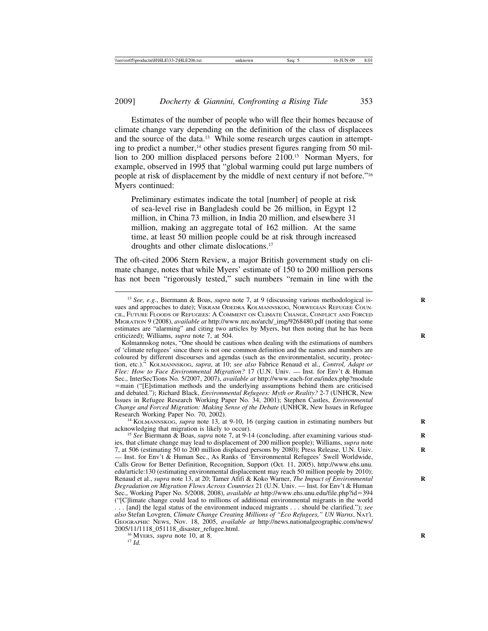Estimates of the number of people who will flee their homes because of climate change vary depending on the definition of the class of displacees and the source of the data.13 While some research urges caution in attempting to predict a number,<sup>14</sup> other studies present figures ranging from 50 million to 200 million displaced persons before 2100.15 Norman Myers, for example, observed in 1995 that "global warming could put large numbers of people at risk of displacement by the middle of next century if not before."16 Myers continued:

Preliminary estimates indicate the total [number] of people at risk of sea-level rise in Bangladesh could be 26 million, in Egypt 12 million, in China 73 million, in India 20 million, and elsewhere 31 million, making an aggregate total of 162 million. At the same time, at least 50 million people could be at risk through increased droughts and other climate dislocations.17

The oft-cited 2006 Stern Review, a major British government study on climate change, notes that while Myers' estimate of 150 to 200 million persons has not been "rigorously tested," such numbers "remain in line with the

Kolmannskog notes, "One should be cautious when dealing with the estimations of numbers of 'climate refugees' since there is not one common definition and the names and numbers are coloured by different discourses and agendas (such as the environmentalist, security, protection, etc.)." KOLMANNSKOG, *supra*, at 10; *see also* Fabrice Renaud et al., *Control, Adapt or Flee: How to Face Environmental Migration?* 17 (U.N. Univ. — Inst. for Env't & Human Sec., InterSecTions No. 5/2007, 2007), *available at* http://www.each-for.eu/index.php?module =main ("[E]stimation methods and the underlying assumptions behind them are criticised and debated."); Richard Black, *Environmental Refugees: Myth or Reality?* 2-7 (UNHCR, New Issues in Refugee Research Working Paper No. 34, 2001); Stephen Castles, *Environmental Change and Forced Migration: Making Sense of the Debate* (UNHCR, New Issues in Refugee

<sup>14</sup> KOLMANNSKOG, *supra* note 13, at 9-10, 16 (urging caution in estimating numbers but acknowledging that migration is likely to occur).

<sup>15</sup> See Biermann & Boas, *supra* note 7, at 9-14 (concluding, after examining various studies, that climate change may lead to displacement of 200 million people); Williams, *supra* note 7, at 506 (estimating 50 to 200 million displaced persons by 2080); Press Release, U.N. Univ. **R** — Inst. for Env't & Human Sec., As Ranks of 'Environmental Refugees' Swell Worldwide, Calls Grow for Better Definition, Recognition, Support (Oct. 11, 2005), http://www.ehs.unu. edu/article:130 (estimating environmental displacement may reach 50 million people by 2010); Renaud et al., *supra* note 13, at 20; Tamer Afifi & Koko Warner, *The Impact of Environmental* **R** *Degradation on Migration Flows Across Countries* 21 (U.N. Univ. — Inst. for Env't & Human Sec., Working Paper No. 5/2008, 2008), *available at* http://www.ehs.unu.edu/file.php?id=394 ("[C]limate change could lead to millions of additional environmental migrants in the world . . . [and] the legal status of the environment induced migrants . . . should be clarified."); *see also* Stefan Lovgren, *Climate Change Creating Millions of "Eco Refugees," UN Warns*, NAT'L GEOGRAPHIC NEWS, Nov. 18, 2005, *available at* http://news.nationalgeographic.com/news/ 2005/11/1118\_051118\_disaster\_refugee.html.<br><sup>16</sup> MYERS, *supra* note 10, at 8. <sup>17</sup> *Id.* 

<sup>&</sup>lt;sup>13</sup> *See, e.g.*, Biermann & Boas, *supra* note 7, at 9 (discussing various methodological issues and approaches to date); VIKRAM ODEDRA KOLMANNSKOG, NORWEGIAN REFUGEE COUN-CIL, FUTURE FLOODS OF REFUGEES: A COMMENT ON CLIMATE CHANGE, CONFLICT AND FORCED MIGRATION 9 (2008), *available at* http://www.nrc.no/arch/\_img/9268480.pdf (noting that some estimates are "alarming" and citing two articles by Myers, but then noting that he has been criticized); Williams, *supra* note 7, at 504. **R**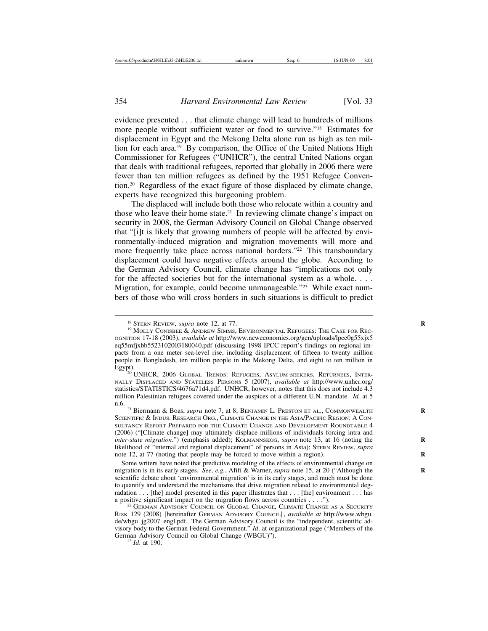evidence presented . . . that climate change will lead to hundreds of millions more people without sufficient water or food to survive."18 Estimates for displacement in Egypt and the Mekong Delta alone run as high as ten million for each area.<sup>19</sup> By comparison, the Office of the United Nations High Commissioner for Refugees ("UNHCR"), the central United Nations organ that deals with traditional refugees, reported that globally in 2006 there were fewer than ten million refugees as defined by the 1951 Refugee Convention.20 Regardless of the exact figure of those displaced by climate change, experts have recognized this burgeoning problem.

The displaced will include both those who relocate within a country and those who leave their home state.21 In reviewing climate change's impact on security in 2008, the German Advisory Council on Global Change observed that "[i]t is likely that growing numbers of people will be affected by environmentally-induced migration and migration movements will more and more frequently take place across national borders."<sup>22</sup> This transboundary displacement could have negative effects around the globe. According to the German Advisory Council, climate change has "implications not only for the affected societies but for the international system as a whole. . . . Migration, for example, could become unmanageable."<sup>23</sup> While exact numbers of those who will cross borders in such situations is difficult to predict

n.6. <sup>21</sup> Biermann & Boas, *supra* note 7, at 8; BENJAMIN L. PRESTON ET AL., COMMONWEALTH **<sup>R</sup>** SCIENTIFIC & INDUS. RESEARCH ORG., CLIMATE CHANGE IN THE ASIA/PACIFIC REGION: A CON-SULTANCY REPORT PREPARED FOR THE CLIMATE CHANGE AND DEVELOPMENT ROUNDTABLE 4 (2006) ("[Climate change] may ultimately displace millions of individuals forcing intra and *inter-state migration.*") (emphasis added); KOLMANNSKOG, *supra* note 13, at 16 (noting the likelihood of "internal and regional displacement" of persons in Asia); STERN REVIEW, *supra* note 12, at 77 (noting that people may be forced to move within a region).

Some writers have noted that predictive modeling of the effects of environmental change on migration is in its early stages. *See, e.g.*, Afifi & Warner, *supra* note 15, at 20 ("Although the **R** scientific debate about 'environmental migration' is in its early stages, and much must be done to quantify and understand the mechanisms that drive migration related to environmental degradation  $\dots$  [the] model presented in this paper illustrates that  $\dots$  [the] environment  $\dots$  has a positive significant impact on the migration flows across countries  $\dots$  ...").

<sup>&</sup>lt;sup>18</sup> Stern Review, *supra* note 12, at 77.<br><sup>19</sup> Molly Conisbee & Andrew Simms, Environmental Refugees: The Case for Rec-OGNITION 17-18 (2003), *available at* http://www.neweconomics.org/gen/uploads/lpce0g55xjx5 eq55mfjxbb5523102003180040.pdf (discussing 1998 IPCC report's findings on regional impacts from a one meter sea-level rise, including displacement of fifteen to twenty million people in Bangladesh, ten million people in the Mekong Delta, and eight to ten million in

Egypt).<br><sup>20</sup> UNHCR, 2006 Global Trends: Refugees, Asylum-seekers, Returnees, Inter-NALLY DISPLACED AND STATELESS PERSONS 5 (2007), *available at* http://www.unhcr.org/ statistics/STATISTICS/4676a71d4.pdf. UNHCR, however, notes that this does not include 4.3 million Palestinian refugees covered under the auspices of a different U.N. mandate. *Id.* at 5

 $^{22}$  GERMAN ADVISORY COUNCIL ON GLOBAL CHANGE, CLIMATE CHANGE AS A SECURITY RISK 129 (2008) [hereinafter GERMAN ADVISORY COUNCIL] , *available at* http://www.wbgu. de/wbgu\_jg2007\_engl.pdf. The German Advisory Council is the "independent, scientific advisory body to the German Federal Government." *Id*. at organizational page ("Members of the German Advisory Council on Global Change (WBGU)"). <sup>23</sup> *Id*. at 190.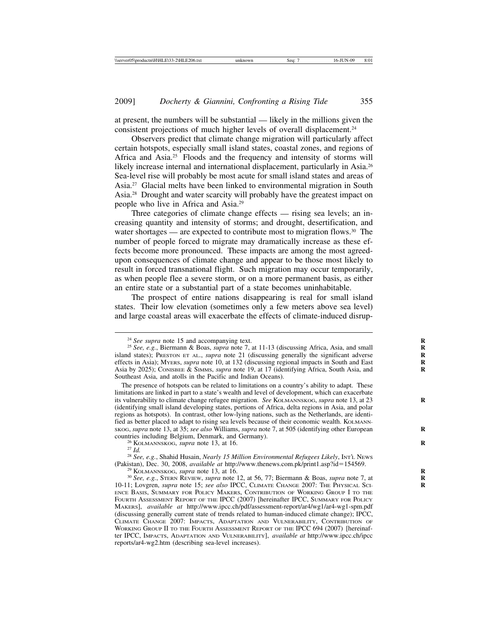at present, the numbers will be substantial — likely in the millions given the consistent projections of much higher levels of overall displacement.<sup>24</sup>

Observers predict that climate change migration will particularly affect certain hotspots, especially small island states, coastal zones, and regions of Africa and Asia.<sup>25</sup> Floods and the frequency and intensity of storms will likely increase internal and international displacement, particularly in Asia.<sup>26</sup> Sea-level rise will probably be most acute for small island states and areas of Asia.27 Glacial melts have been linked to environmental migration in South Asia.28 Drought and water scarcity will probably have the greatest impact on people who live in Africa and Asia.29

Three categories of climate change effects — rising sea levels; an increasing quantity and intensity of storms; and drought, desertification, and water shortages — are expected to contribute most to migration flows.<sup>30</sup> The number of people forced to migrate may dramatically increase as these effects become more pronounced. These impacts are among the most agreedupon consequences of climate change and appear to be those most likely to result in forced transnational flight. Such migration may occur temporarily, as when people flee a severe storm, or on a more permanent basis, as either an entire state or a substantial part of a state becomes uninhabitable.

The prospect of entire nations disappearing is real for small island states. Their low elevation (sometimes only a few meters above sea level) and large coastal areas will exacerbate the effects of climate-induced disrup-

The presence of hotspots can be related to limitations on a country's ability to adapt. These limitations are linked in part to a state's wealth and level of development, which can exacerbate its vulnerability to climate change refugee migration. *See KOLMANNSKOG, supra* note 13, at 23 (identifying small island developing states, portions of Africa, delta regions in Asia, and polar regions as hotspots). In contrast, other low-lying nations, such as the Netherlands, are identified as better placed to adapt to rising sea levels because of their economic wealth. KOLMANNskog, *supra* note 13, at 35; *see also* Williams, *supra* note 7, at 505 (identifying other European countries including Belgium, Denmark, and Germany).

<sup>26</sup> KOLMANNSKOG, *supra* note 13, at 16.<br><sup>27</sup> *Id.* <sup>28</sup> *See, e.g.*, Shahid Husain, *Nearly 15 Million Environmental Refugees Likely*, INT'L NEWS<br>(Pakistan), Dec. 30, 2008, *available at http://www.thenews.com.pk/print1.* 

<sup>&</sup>lt;sup>24</sup> *See supra* note 15 and accompanying text.<br><sup>25</sup> *See, e.g.*, Biermann & Boas, *supra* note 7, at 11-13 (discussing Africa, Asia, and small island states); PRESTON ET AL., *supra* note 21 (discussing generally the significant adverse effects in Asia); MYERS, *supra* note 10, at 132 (discussing regional impacts in South and East **R** Asia by 2025); CONISBEE & SIMMS, *supra* note 19, at 17 (identifying Africa, South Asia, and **R** Southeast Asia, and atolls in the Pacific and Indian Oceans).

<sup>&</sup>lt;sup>29</sup> KOLMANNSKOG, *supra* note 13, at 16.<br><sup>30</sup> See, e.g., STERN REVIEW, *supra* note 12, at 56, 77; Biermann & Boas, *supra* note 7, at 10-11; Lovgren, *supra* note 15; *see also* IPCC, CLIMATE CHANGE 2007: THE PHYSICAL SCI- **R** ENCE BASIS, SUMMARY FOR POLICY MAKERS, CONTRIBUTION OF WORKING GROUP I TO THE FOURTH ASSESSMENT REPORT OF THE IPCC (2007) [hereinafter IPCC, SUMMARY FOR POLICY MAKERS], *available at* http://www.ipcc.ch/pdf/assessment-report/ar4/wg1/ar4-wg1-spm.pdf (discussing generally current state of trends related to human-induced climate change); IPCC, CLIMATE CHANGE 2007: IMPACTS, ADAPTATION AND VULNERABILITY, CONTRIBUTION OF WORKING GROUP II TO THE FOURTH ASSESSMENT REPORT OF THE IPCC 694 (2007) [hereinafter IPCC, IMPACTS, ADAPTATION AND VULNERABILITY], *available at* http://www.ipcc.ch/ipcc reports/ar4-wg2.htm (describing sea-level increases).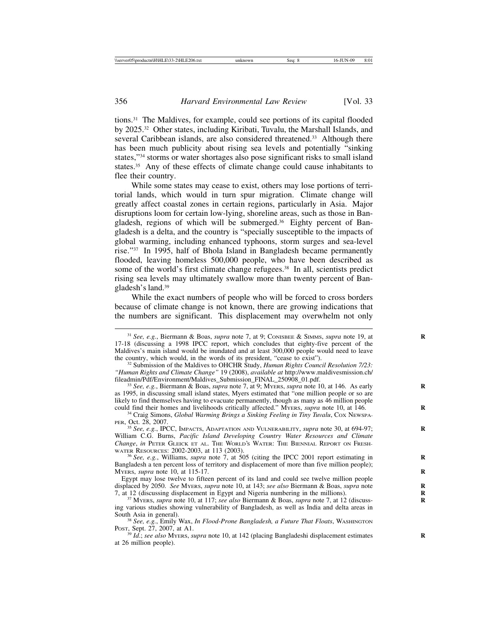tions.31 The Maldives, for example, could see portions of its capital flooded by 2025.32 Other states, including Kiribati, Tuvalu, the Marshall Islands, and several Caribbean islands, are also considered threatened.<sup>33</sup> Although there has been much publicity about rising sea levels and potentially "sinking states,"34 storms or water shortages also pose significant risks to small island states.<sup>35</sup> Any of these effects of climate change could cause inhabitants to flee their country.

While some states may cease to exist, others may lose portions of territorial lands, which would in turn spur migration. Climate change will greatly affect coastal zones in certain regions, particularly in Asia. Major disruptions loom for certain low-lying, shoreline areas, such as those in Bangladesh, regions of which will be submerged.36 Eighty percent of Bangladesh is a delta, and the country is "specially susceptible to the impacts of global warming, including enhanced typhoons, storm surges and sea-level rise."37 In 1995, half of Bhola Island in Bangladesh became permanently flooded, leaving homeless 500,000 people, who have been described as some of the world's first climate change refugees.<sup>38</sup> In all, scientists predict rising sea levels may ultimately swallow more than twenty percent of Bangladesh's land.39

While the exact numbers of people who will be forced to cross borders because of climate change is not known, there are growing indications that the numbers are significant. This displacement may overwhelm not only

<sup>35</sup> *See, e.g.*, IPCC, IMPACTS, ADAPTATION AND VULNERABILITY, *supra* note 30, at 694-97; **R** William C.G. Burns, *Pacific Island Developing Country Water Resources and Climate Change*, *in* PETER GLEICK ET AL. THE WORLD'S WATER: THE BIENNIAL REPORT ON FRESHWATER RESOURCES: 2002-2003, at 113 (2003).

WATER RESOURCES: 2002-2003, at 113 (2003). <sup>36</sup> *See, e.g.*, Williams, *supra* note 7, at 505 (citing the IPCC 2001 report estimating in **<sup>R</sup>** Bangladesh a ten percent loss of territory and displacement of more than five million people); MYERS, *supra* note 10, at 115-17. **R**

Egypt may lose twelve to fifteen percent of its land and could see twelve million people displaced by 2050. *See MYERS, supra* note 10, at 143; *see also Biermann & Boas, supra* note 7, at 12 (discussing displacement in Egypt and Nigeria numbering in the millions).

<sup>31</sup> *See, e.g.*, Biermann & Boas, *supra* note 7, at 9; CONISBEE & SIMMS, *supra* note 19, at **R** 17-18 (discussing a 1998 IPCC report, which concludes that eighty-five percent of the Maldives's main island would be inundated and at least 300,000 people would need to leave the country, which would, in the words of its president, "cease to exist"). <sup>32</sup> Submission of the Maldives to OHCHR Study, *Human Rights Council Resolution 7/23:*

*<sup>&</sup>quot;Human Rights and Climate Change"* 19 (2008), *available at* http://www.maldivesmission.ch/

<sup>&</sup>lt;sup>3</sup> See, e.g., Biermann & Boas, *supra* note 7, at 9; MyERS, *supra* note 10, at 146. As early as 1995, in discussing small island states, Myers estimated that "one million people or so are likely to find themselves having to evacuate permanently, though as many as 46 million people could find their homes and livelihoods critically affected." MyERS, *supra* note 10, at 146.

<sup>&</sup>lt;sup>34</sup> Craig Simons, *Global Warming Brings a Sinking Feeling in Tiny Tuvalu*, Cox Newspa-PER, Oct. 28, 2007.

<sup>&</sup>lt;sup>37</sup> MYERS, *supra* note 10, at 117; *see also* Biermann & Boas, *supra* note 7, at 12 (discussing various studies showing vulnerability of Bangladesh, as well as India and delta areas in

South Asia in general). <sup>38</sup> *See, e.g.*, Emily Wax, *In Flood-Prone Bangladesh, a Future That Floats*, WASHINGTON POST, Sept. 27, 2007, at A1.

<sup>&</sup>lt;sup>39</sup> *Id.*; *see also* MyERS, *supra* note 10, at 142 (placing Bangladeshi displacement estimates at 26 million people).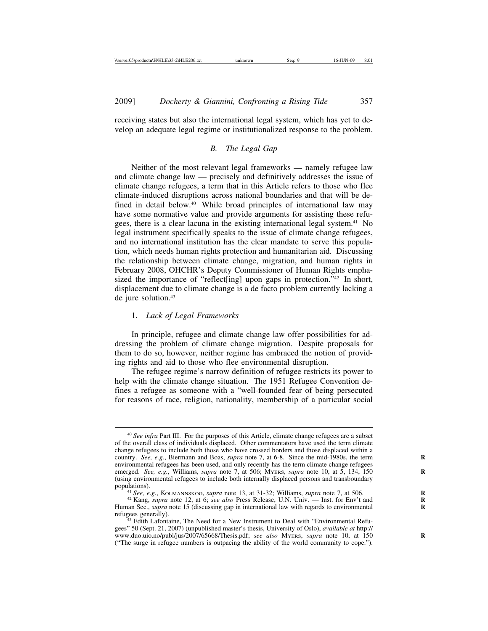receiving states but also the international legal system, which has yet to develop an adequate legal regime or institutionalized response to the problem.

## *B. The Legal Gap*

Neither of the most relevant legal frameworks — namely refugee law and climate change law — precisely and definitively addresses the issue of climate change refugees, a term that in this Article refers to those who flee climate-induced disruptions across national boundaries and that will be defined in detail below.40 While broad principles of international law may have some normative value and provide arguments for assisting these refugees, there is a clear lacuna in the existing international legal system.<sup>41</sup> No legal instrument specifically speaks to the issue of climate change refugees, and no international institution has the clear mandate to serve this population, which needs human rights protection and humanitarian aid. Discussing the relationship between climate change, migration, and human rights in February 2008, OHCHR's Deputy Commissioner of Human Rights emphasized the importance of "reflect<sup>[ing]</sup> upon gaps in protection."<sup>42</sup> In short, displacement due to climate change is a de facto problem currently lacking a de jure solution.<sup>43</sup>

## 1. *Lack of Legal Frameworks*

In principle, refugee and climate change law offer possibilities for addressing the problem of climate change migration. Despite proposals for them to do so, however, neither regime has embraced the notion of providing rights and aid to those who flee environmental disruption.

The refugee regime's narrow definition of refugee restricts its power to help with the climate change situation. The 1951 Refugee Convention defines a refugee as someone with a "well-founded fear of being persecuted for reasons of race, religion, nationality, membership of a particular social

<sup>40</sup> *See infra* Part III. For the purposes of this Article, climate change refugees are a subset of the overall class of individuals displaced. Other commentators have used the term climate change refugees to include both those who have crossed borders and those displaced within a country. *See, e.g.*, Biermann and Boas, *supra* note 7, at 6-8. Since the mid-1980s, the term environmental refugees has been used, and only recently has the term climate change refugees emerged. *See, e.g.*, Williams, *supra* note 7, at 506; MYERS, *supra* note 10, at 5, 134, 150 (using environmental refugees to include both internally displaced persons and transboundary

<sup>&</sup>lt;sup>41</sup> See, e.g., KOLMANNSKOG, *supra* note 13, at 31-32; Williams, *supra* note 7, at 506.<br><sup>42</sup> Kang, *supra* note 12, at 6; *see also* Press Release, U.N. Univ. — Inst. for Env't and

Human Sec., *supra* note 15 (discussing gap in international law with regards to environmental refugees generally).

 $43$  Edith Lafontaine, The Need for a New Instrument to Deal with "Environmental Refugees" 50 (Sept. 21, 2007) (unpublished master's thesis, University of Oslo), *available at* http:// www.duo.uio.no/publ/jus/2007/65668/Thesis.pdf; *see also* MYERS, *supra* note 10, at 150 **R** ("The surge in refugee numbers is outpacing the ability of the world community to cope.").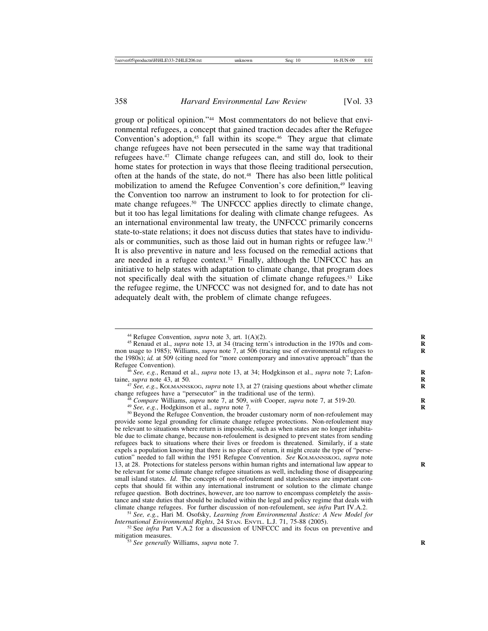group or political opinion."44 Most commentators do not believe that environmental refugees, a concept that gained traction decades after the Refugee Convention's adoption,<sup>45</sup> fall within its scope.<sup>46</sup> They argue that climate change refugees have not been persecuted in the same way that traditional refugees have.47 Climate change refugees can, and still do, look to their home states for protection in ways that those fleeing traditional persecution, often at the hands of the state, do not.48 There has also been little political mobilization to amend the Refugee Convention's core definition,49 leaving the Convention too narrow an instrument to look to for protection for climate change refugees.50 The UNFCCC applies directly to climate change, but it too has legal limitations for dealing with climate change refugees. As an international environmental law treaty, the UNFCCC primarily concerns state-to-state relations; it does not discuss duties that states have to individuals or communities, such as those laid out in human rights or refugee law.51 It is also preventive in nature and less focused on the remedial actions that are needed in a refugee context.<sup>52</sup> Finally, although the UNFCCC has an initiative to help states with adaptation to climate change, that program does not specifically deal with the situation of climate change refugees.53 Like the refugee regime, the UNFCCC was not designed for, and to date has not adequately dealt with, the problem of climate change refugees.

taine, *supra* note 43, at 50. *<sup>47</sup> See, e.g.*, KOLMANNSKOG, *supra* note 13, at 27 (raising questions about whether climate change refugees have a "persecutor" in the traditional use of the term).

<sup>48</sup> Compare Williams, *supra* note 7, at 509, *with* Cooper, *supra* note 7, at 519-20.<br><sup>49</sup> See, e.g., Hodgkinson et al., *supra* note 7.<br><sup>50</sup> Beyond the Refugee Convention, the broader customary norm of non-refoulement

provide some legal grounding for climate change refugee protections. Non-refoulement may be relevant to situations where return is impossible, such as when states are no longer inhabitable due to climate change, because non-refoulement is designed to prevent states from sending refugees back to situations where their lives or freedom is threatened. Similarly, if a state expels a population knowing that there is no place of return, it might create the type of "persecution" needed to fall within the 1951 Refugee Convention. *See* KOLMANNSKOG, *supra* note 13, at 28. Protections for stateless persons within human rights and international law appear to **R** be relevant for some climate change refugee situations as well, including those of disappearing small island states. *Id*. The concepts of non-refoulement and statelessness are important concepts that should fit within any international instrument or solution to the climate change refugee question. Both doctrines, however, are too narrow to encompass completely the assistance and state duties that should be included within the legal and policy regime that deals with climate change refugees. For further discussion of non-refoulement, see *infra* Part IV.A.2.

<sup>&</sup>lt;sup>44</sup> Refugee Convention, *supra* note 3, art.  $1(A)(2)$ .<br><sup>45</sup> Renaud et al., *supra* note 13, at 34 (tracing term's introduction in the 1970s and common usage to 1985); Williams, *supra* note 7, at 506 (tracing use of environmental refugees to the 1980s); *id.* at 509 (citing need for "more contemporary and innovative approach" than the Refugee Convention).

<sup>&</sup>lt;sup>6</sup> *See, e.g.*, Renaud et al., *supra* note 13, at 34; Hodgkinson et al., *supra* note 7; Lafon-

<sup>&</sup>lt;sup>51</sup> See, e.g., Hari M. Osofsky, *Learning from Environmental Justice: A New Model for* 

*International Environmental Rights*, 24 STAN. ENVTL. L.J. 71, 75-88 (2005). <sup>52</sup> See *infra* Part V.A.2 for a discussion of UNFCCC and its focus on preventive and mitigation measures.

 $\frac{1}{3}$ <sup>53</sup> *See generally* Williams, *supra* note 7.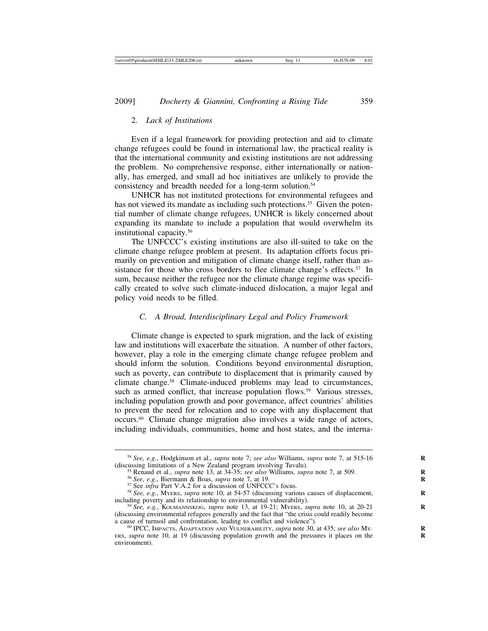## 2. *Lack of Institutions*

Even if a legal framework for providing protection and aid to climate change refugees could be found in international law, the practical reality is that the international community and existing institutions are not addressing the problem. No comprehensive response, either internationally or nationally, has emerged, and small ad hoc initiatives are unlikely to provide the consistency and breadth needed for a long-term solution.<sup>54</sup>

UNHCR has not instituted protections for environmental refugees and has not viewed its mandate as including such protections.<sup>55</sup> Given the potential number of climate change refugees, UNHCR is likely concerned about expanding its mandate to include a population that would overwhelm its institutional capacity.56

The UNFCCC's existing institutions are also ill-suited to take on the climate change refugee problem at present. Its adaptation efforts focus primarily on prevention and mitigation of climate change itself, rather than assistance for those who cross borders to flee climate change's effects.<sup>57</sup> In sum, because neither the refugee nor the climate change regime was specifically created to solve such climate-induced dislocation, a major legal and policy void needs to be filled.

## *C. A Broad, Interdisciplinary Legal and Policy Framework*

Climate change is expected to spark migration, and the lack of existing law and institutions will exacerbate the situation. A number of other factors, however, play a role in the emerging climate change refugee problem and should inform the solution. Conditions beyond environmental disruption, such as poverty, can contribute to displacement that is primarily caused by climate change.58 Climate-induced problems may lead to circumstances, such as armed conflict, that increase population flows.<sup>59</sup> Various stresses, including population growth and poor governance, affect countries' abilities to prevent the need for relocation and to cope with any displacement that occurs.60 Climate change migration also involves a wide range of actors, including individuals, communities, home and host states, and the interna-

<sup>&</sup>lt;sup>54</sup> *See, e.g.*, Hodgkinson et al., *supra* note 7; *see also* Williams, *supra* note 7, at 515-16 (discussing limitations of a New Zealand program involving Tuvalu).

<sup>&</sup>lt;sup>55</sup> Renaud et al., *supra* note 13, at 34-35; *see also* Williams, *supra* note 7, at 509.<br><sup>56</sup> See, e.g., Biermann & Boas, *supra* note 7, at 19.<br><sup>57</sup> See *infra* Part V.A.2 for a discussion of UNFCCC's focus.<br><sup>58</sup> See,

<sup>&</sup>lt;sup>59</sup> See, e.g., KOLMANNSKOG, *supra* note 13, at 19-21; MYERS, *supra* note 10, at 20-21 (discussing environmental refugees generally and the fact that "the crisis could readily become a cause of turmoil and confrontation, leading to conflict and violence").

<sup>&</sup>lt;sup>60</sup> IPCC, IMPACTS, ADAPTATION AND VULNERABILITY, *supra* note 30, at 435; *see also* My-ERS, *supra* note 10, at 19 (discussing population growth and the pressures it places on the environment).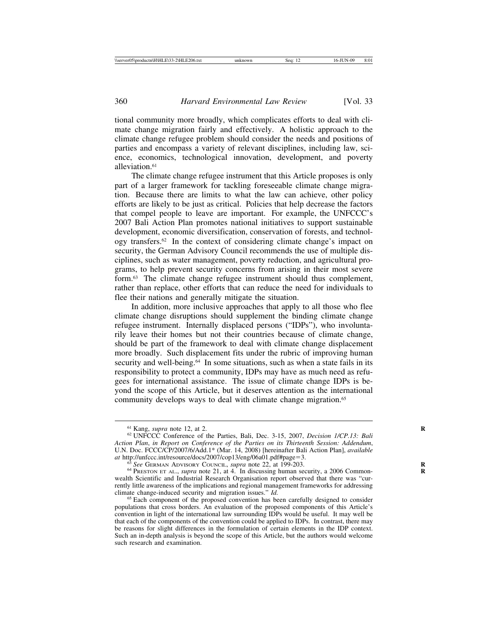tional community more broadly, which complicates efforts to deal with climate change migration fairly and effectively. A holistic approach to the climate change refugee problem should consider the needs and positions of parties and encompass a variety of relevant disciplines, including law, science, economics, technological innovation, development, and poverty alleviation.<sup>61</sup>

The climate change refugee instrument that this Article proposes is only part of a larger framework for tackling foreseeable climate change migration. Because there are limits to what the law can achieve, other policy efforts are likely to be just as critical. Policies that help decrease the factors that compel people to leave are important. For example, the UNFCCC's 2007 Bali Action Plan promotes national initiatives to support sustainable development, economic diversification, conservation of forests, and technology transfers.62 In the context of considering climate change's impact on security, the German Advisory Council recommends the use of multiple disciplines, such as water management, poverty reduction, and agricultural programs, to help prevent security concerns from arising in their most severe form.63 The climate change refugee instrument should thus complement, rather than replace, other efforts that can reduce the need for individuals to flee their nations and generally mitigate the situation.

In addition, more inclusive approaches that apply to all those who flee climate change disruptions should supplement the binding climate change refugee instrument. Internally displaced persons ("IDPs"), who involuntarily leave their homes but not their countries because of climate change, should be part of the framework to deal with climate change displacement more broadly. Such displacement fits under the rubric of improving human security and well-being.<sup>64</sup> In some situations, such as when a state fails in its responsibility to protect a community, IDPs may have as much need as refugees for international assistance. The issue of climate change IDPs is beyond the scope of this Article, but it deserves attention as the international community develops ways to deal with climate change migration.<sup>65</sup>

<sup>&</sup>lt;sup>61</sup> Kang, *supra* note 12, at 2.<br><sup>62</sup> UNFCCC Conference of the Parties, Bali, Dec. 3-15, 2007, *Decision 1/CP.13: Bali Action Plan*, *in Report on Conference of the Parties on its Thirteenth Session: Addendum*, U.N. Doc. FCCC/CP/2007/6/Add.1\* (Mar. 14, 2008) [hereinafter Bali Action Plan], *available*

<sup>&</sup>lt;sup>63</sup> See GERMAN ADVISORY COUNCIL, *supra* note 22, at 199-203.<br><sup>64</sup> PRESTON ET AL., *supra* note 21, at 4. In discussing human security, a 2006 Commonwealth Scientific and Industrial Research Organisation report observed that there was "currently little awareness of the implications and regional management frameworks for addressing climate change-induced security and migration issues."  $Id$ .

<sup>&</sup>lt;sup>65</sup> Each component of the proposed convention has been carefully designed to consider populations that cross borders. An evaluation of the proposed components of this Article's convention in light of the international law surrounding IDPs would be useful. It may well be that each of the components of the convention could be applied to IDPs. In contrast, there may be reasons for slight differences in the formulation of certain elements in the IDP context. Such an in-depth analysis is beyond the scope of this Article, but the authors would welcome such research and examination.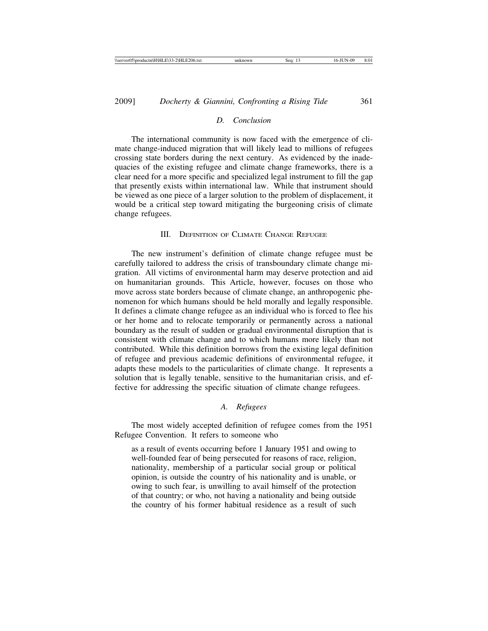#### *D. Conclusion*

The international community is now faced with the emergence of climate change-induced migration that will likely lead to millions of refugees crossing state borders during the next century. As evidenced by the inadequacies of the existing refugee and climate change frameworks, there is a clear need for a more specific and specialized legal instrument to fill the gap that presently exists within international law. While that instrument should be viewed as one piece of a larger solution to the problem of displacement, it would be a critical step toward mitigating the burgeoning crisis of climate change refugees.

## III. DEFINITION OF CLIMATE CHANGE REFUGEE

The new instrument's definition of climate change refugee must be carefully tailored to address the crisis of transboundary climate change migration. All victims of environmental harm may deserve protection and aid on humanitarian grounds. This Article, however, focuses on those who move across state borders because of climate change, an anthropogenic phenomenon for which humans should be held morally and legally responsible. It defines a climate change refugee as an individual who is forced to flee his or her home and to relocate temporarily or permanently across a national boundary as the result of sudden or gradual environmental disruption that is consistent with climate change and to which humans more likely than not contributed. While this definition borrows from the existing legal definition of refugee and previous academic definitions of environmental refugee, it adapts these models to the particularities of climate change. It represents a solution that is legally tenable, sensitive to the humanitarian crisis, and effective for addressing the specific situation of climate change refugees.

#### *A. Refugees*

The most widely accepted definition of refugee comes from the 1951 Refugee Convention. It refers to someone who

as a result of events occurring before 1 January 1951 and owing to well-founded fear of being persecuted for reasons of race, religion, nationality, membership of a particular social group or political opinion, is outside the country of his nationality and is unable, or owing to such fear, is unwilling to avail himself of the protection of that country; or who, not having a nationality and being outside the country of his former habitual residence as a result of such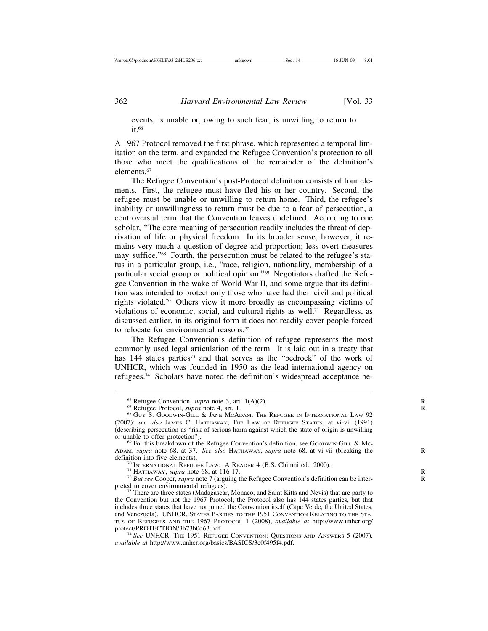events, is unable or, owing to such fear, is unwilling to return to it.66

A 1967 Protocol removed the first phrase, which represented a temporal limitation on the term, and expanded the Refugee Convention's protection to all those who meet the qualifications of the remainder of the definition's elements.67

The Refugee Convention's post-Protocol definition consists of four elements. First, the refugee must have fled his or her country. Second, the refugee must be unable or unwilling to return home. Third, the refugee's inability or unwillingness to return must be due to a fear of persecution, a controversial term that the Convention leaves undefined. According to one scholar, "The core meaning of persecution readily includes the threat of deprivation of life or physical freedom. In its broader sense, however, it remains very much a question of degree and proportion; less overt measures may suffice."68 Fourth, the persecution must be related to the refugee's status in a particular group, i.e., "race, religion, nationality, membership of a particular social group or political opinion."69 Negotiators drafted the Refugee Convention in the wake of World War II, and some argue that its definition was intended to protect only those who have had their civil and political rights violated.70 Others view it more broadly as encompassing victims of violations of economic, social, and cultural rights as well.<sup>71</sup> Regardless, as discussed earlier, in its original form it does not readily cover people forced to relocate for environmental reasons.72

The Refugee Convention's definition of refugee represents the most commonly used legal articulation of the term. It is laid out in a treaty that has 144 states parties<sup>73</sup> and that serves as the "bedrock" of the work of UNHCR, which was founded in 1950 as the lead international agency on refugees.74 Scholars have noted the definition's widespread acceptance be-

<sup>&</sup>lt;sup>66</sup> Refugee Convention, *supra* note 3, art. 1(A)(2).<br><sup>67</sup> Refugee Protocol, *supra* note 4, art. 1.<br><sup>68</sup> GUY S. GOODWIN-GILL & JANE MCADAM, THE REFUGEE IN INTERNATIONAL LAW 92 (2007); *see also* JAMES C. HATHAWAY, THE LAW OF REFUGEE STATUS, at vi-vii (1991) (describing persecution as "risk of serious harm against which the state of origin is unwilling

 $69$  For this breakdown of the Refugee Convention's definition, see GOODWIN-GILL & Mc-ADAM, *supra* note 68, at 37. *See also* HATHAWAY, *supra* note 68, at vi-vii (breaking the definition into five elements).

<sup>&</sup>lt;sup>70</sup> INTERNATIONAL REFUGEE LAW: A READER 4 (B.S. Chimni ed., 2000).<br><sup>71</sup> HATHAWAY, *supra* note 68, at 116-17.<br><sup>72</sup> But see Cooper, *supra* note 7 (arguing the Refugee Convention's definition can be interpreted to cover e

 $^{73}$  There are three states (Madagascar, Monaco, and Saint Kitts and Nevis) that are party to the Convention but not the 1967 Protocol; the Protocol also has 144 states parties, but that includes three states that have not joined the Convention itself (Cape Verde, the United States, and Venezuela). UNHCR, STATES PARTIES TO THE 1951 CONVENTION RELATING TO THE STA-TUS OF REFUGEES AND THE 1967 PROTOCOL 1 (2008), *available at* http://www.unhcr.org/

<sup>&</sup>lt;sup>74</sup> See UNHCR, The 1951 Refugee Convention: Questions and Answers 5 (2007), *available at* http://www.unhcr.org/basics/BASICS/3c0f495f4.pdf.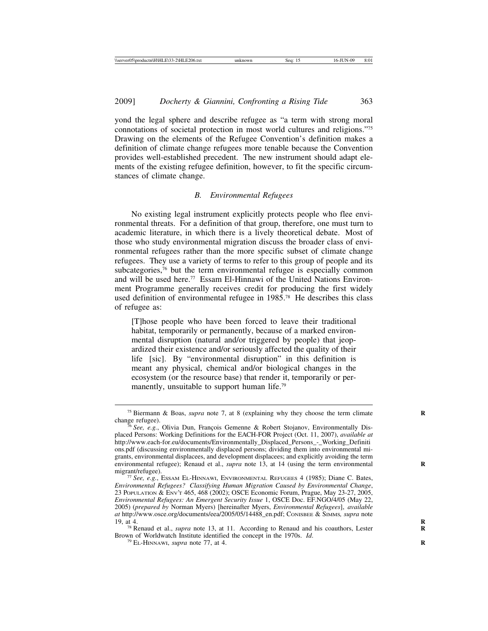yond the legal sphere and describe refugee as "a term with strong moral connotations of societal protection in most world cultures and religions."75 Drawing on the elements of the Refugee Convention's definition makes a definition of climate change refugees more tenable because the Convention provides well-established precedent. The new instrument should adapt elements of the existing refugee definition, however, to fit the specific circumstances of climate change.

#### *B. Environmental Refugees*

No existing legal instrument explicitly protects people who flee environmental threats. For a definition of that group, therefore, one must turn to academic literature, in which there is a lively theoretical debate. Most of those who study environmental migration discuss the broader class of environmental refugees rather than the more specific subset of climate change refugees. They use a variety of terms to refer to this group of people and its subcategories,<sup>76</sup> but the term environmental refugee is especially common and will be used here.<sup>77</sup> Essam El-Hinnawi of the United Nations Environment Programme generally receives credit for producing the first widely used definition of environmental refugee in 1985.78 He describes this class of refugee as:

[T]hose people who have been forced to leave their traditional habitat, temporarily or permanently, because of a marked environmental disruption (natural and/or triggered by people) that jeopardized their existence and/or seriously affected the quality of their life [sic]. By "environmental disruption" in this definition is meant any physical, chemical and/or biological changes in the ecosystem (or the resource base) that render it, temporarily or permanently, unsuitable to support human life.<sup>79</sup>

<sup>&</sup>lt;sup>75</sup> Biermann & Boas, *supra* note 7, at 8 (explaining why they choose the term climate change refugee).

change refugee).<br><sup>76</sup> *See, e.g.*, Olivia Dun, François Gemenne & Robert Stojanov, Environmentally Displaced Persons: Working Definitions for the EACH-FOR Project (Oct. 11, 2007), *available at* http://www.each-for.eu/documents/Environmentally\_Displaced\_Persons\_-\_Working\_Definiti ons.pdf (discussing environmentally displaced persons; dividing them into environmental migrants, environmental displacees, and development displacees; and explicitly avoiding the term environmental refugee); Renaud et al., *supra* note 13, at 14 (using the term environmental migrant/refugee).

<sup>&</sup>lt;sup>77</sup> See, e.g., Essam El-HINNAWI, ENVIRONMENTAL REFUGEES 4 (1985); Diane C. Bates, *Environmental Refugees? Classifying Human Migration Caused by Environmental Change*, 23 POPULATION & ENV'T 465, 468 (2002); OSCE Economic Forum, Prague, May 23-27, 2005, *Environmental Refugees: An Emergent Security Issue* 1, OSCE Doc. EF.NGO/4/05 (May 22, 2005) (*prepared by* Norman Myers) [hereinafter Myers, *Environmental Refugees*], *available at* http://www.osce.org/documents/eea/2005/05/14488\_en.pdf; CONISBEE & SIMMS*, supra* note

<sup>&</sup>lt;sup>78</sup> Renaud et al., *supra* note 13, at 11. According to Renaud and his coauthors, Lester Brown of Worldwatch Institute identified the concept in the 1970s. *Id.* <sup>79</sup> EL-HINNAWI, *supra* note 77, at 4.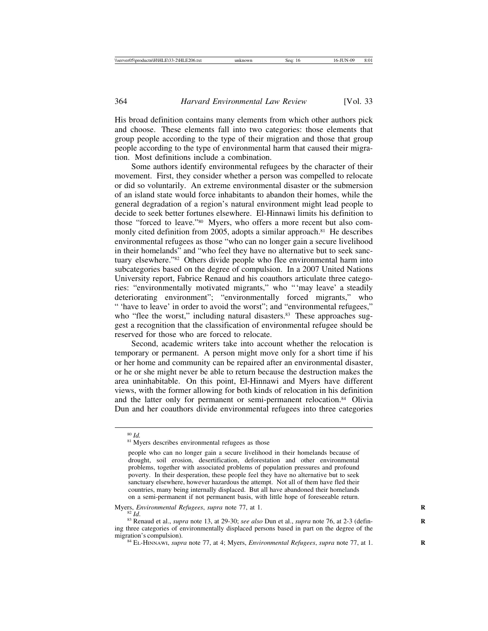His broad definition contains many elements from which other authors pick and choose. These elements fall into two categories: those elements that group people according to the type of their migration and those that group people according to the type of environmental harm that caused their migration. Most definitions include a combination.

Some authors identify environmental refugees by the character of their movement. First, they consider whether a person was compelled to relocate or did so voluntarily. An extreme environmental disaster or the submersion of an island state would force inhabitants to abandon their homes, while the general degradation of a region's natural environment might lead people to decide to seek better fortunes elsewhere. El-Hinnawi limits his definition to those "forced to leave."80 Myers, who offers a more recent but also commonly cited definition from 2005, adopts a similar approach. $81$  He describes environmental refugees as those "who can no longer gain a secure livelihood in their homelands" and "who feel they have no alternative but to seek sanctuary elsewhere."82 Others divide people who flee environmental harm into subcategories based on the degree of compulsion. In a 2007 United Nations University report, Fabrice Renaud and his coauthors articulate three categories: "environmentally motivated migrants," who "'may leave' a steadily deteriorating environment"; "environmentally forced migrants," who " 'have to leave' in order to avoid the worst"; and "environmental refugees," who "flee the worst," including natural disasters.<sup>83</sup> These approaches suggest a recognition that the classification of environmental refugee should be reserved for those who are forced to relocate.

Second, academic writers take into account whether the relocation is temporary or permanent. A person might move only for a short time if his or her home and community can be repaired after an environmental disaster, or he or she might never be able to return because the destruction makes the area uninhabitable. On this point, El-Hinnawi and Myers have different views, with the former allowing for both kinds of relocation in his definition and the latter only for permanent or semi-permanent relocation.<sup>84</sup> Olivia Dun and her coauthors divide environmental refugees into three categories

<sup>&</sup>lt;sup>80</sup> *Id.* <sup>81</sup> Myers describes environmental refugees as those

people who can no longer gain a secure livelihood in their homelands because of drought, soil erosion, desertification, deforestation and other environmental problems, together with associated problems of population pressures and profound poverty. In their desperation, these people feel they have no alternative but to seek sanctuary elsewhere, however hazardous the attempt. Not all of them have fled their countries, many being internally displaced. But all have abandoned their homelands on a semi-permanent if not permanent basis, with little hope of foreseeable return.

Myers, *Environmental Refugees*, *supra* note 77, at 1.<br><sup>82</sup> *Id*. 83 Renaud et al., *supra* note 13, at 29-30; *see also* Dun et al., *supra* note 76, at 2-3 (defin-

ing three categories of environmentally displaced persons based in part on the degree of the

 $^{84}$  EL-HINNAWI, *supra* note 77, at 4; Myers, *Environmental Refugees*, *supra* note 77, at 1.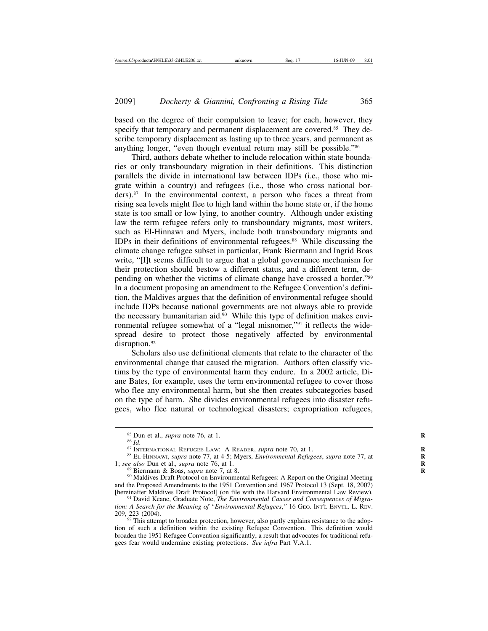based on the degree of their compulsion to leave; for each, however, they specify that temporary and permanent displacement are covered.<sup>85</sup> They describe temporary displacement as lasting up to three years, and permanent as anything longer, "even though eventual return may still be possible."86

Third, authors debate whether to include relocation within state boundaries or only transboundary migration in their definitions. This distinction parallels the divide in international law between IDPs (i.e., those who migrate within a country) and refugees (i.e., those who cross national borders).87 In the environmental context, a person who faces a threat from rising sea levels might flee to high land within the home state or, if the home state is too small or low lying, to another country. Although under existing law the term refugee refers only to transboundary migrants, most writers, such as El-Hinnawi and Myers, include both transboundary migrants and IDPs in their definitions of environmental refugees.<sup>88</sup> While discussing the climate change refugee subset in particular, Frank Biermann and Ingrid Boas write, "[I]t seems difficult to argue that a global governance mechanism for their protection should bestow a different status, and a different term, depending on whether the victims of climate change have crossed a border."89 In a document proposing an amendment to the Refugee Convention's definition, the Maldives argues that the definition of environmental refugee should include IDPs because national governments are not always able to provide the necessary humanitarian aid.<sup>90</sup> While this type of definition makes environmental refugee somewhat of a "legal misnomer,"91 it reflects the widespread desire to protect those negatively affected by environmental disruption.<sup>92</sup>

Scholars also use definitional elements that relate to the character of the environmental change that caused the migration. Authors often classify victims by the type of environmental harm they endure. In a 2002 article, Diane Bates, for example, uses the term environmental refugee to cover those who flee any environmental harm, but she then creates subcategories based on the type of harm. She divides environmental refugees into disaster refugees, who flee natural or technological disasters; expropriation refugees,

<sup>&</sup>lt;sup>85</sup> Dun et al., *supra* note 76, at 1.<br><sup>86</sup> Id.<br><sup>87</sup> INTERNATIONAL REFUGEE LAW: A READER, *supra* note 70, at 1.<br><sup>87</sup> INTERNATIONAL REFUGEE LAW: A 4-5; Myers, *Environmental Refugees*, *supra* note 77, at 1; *see also* D

<sup>&</sup>lt;sup>89</sup> Biermann & Boas, *supra* note 7, at 8.<br><sup>90</sup> Maldives Draft Protocol on Environmental Refugees: A Report on the Original Meeting and the Proposed Amendments to the 1951 Convention and 1967 Protocol 13 (Sept. 18, 2007) [hereinafter Maldives Draft Protocol] (on file with the Harvard Environmental Law Review).

<sup>[</sup>hereinafter Maldives Draft Protocol] (on file with the Harvard Environmental Law Review). <sup>91</sup> David Keane, Graduate Note, *The Environmental Causes and Consequences of Migration: A Search for the Meaning of "Environmental Refugees*,*"* 16 GEO. INT'L ENVTL. L. REV.

<sup>209, 223 (2004). &</sup>lt;sup>92</sup> This attempt to broaden protection, however, also partly explains resistance to the adoption of such a definition within the existing Refugee Convention. This definition would broaden the 1951 Refugee Convention significantly, a result that advocates for traditional refugees fear would undermine existing protections. *See infra* Part V.A.1.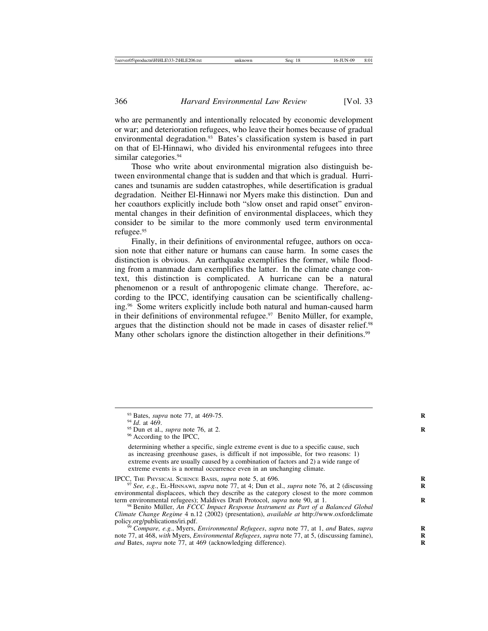who are permanently and intentionally relocated by economic development or war; and deterioration refugees, who leave their homes because of gradual environmental degradation.<sup>93</sup> Bates's classification system is based in part on that of El-Hinnawi, who divided his environmental refugees into three similar categories.<sup>94</sup>

Those who write about environmental migration also distinguish between environmental change that is sudden and that which is gradual. Hurricanes and tsunamis are sudden catastrophes, while desertification is gradual degradation. Neither El-Hinnawi nor Myers make this distinction. Dun and her coauthors explicitly include both "slow onset and rapid onset" environmental changes in their definition of environmental displacees, which they consider to be similar to the more commonly used term environmental refugee.95

Finally, in their definitions of environmental refugee, authors on occasion note that either nature or humans can cause harm. In some cases the distinction is obvious. An earthquake exemplifies the former, while flooding from a manmade dam exemplifies the latter. In the climate change context, this distinction is complicated. A hurricane can be a natural phenomenon or a result of anthropogenic climate change. Therefore, according to the IPCC, identifying causation can be scientifically challenging.96 Some writers explicitly include both natural and human-caused harm in their definitions of environmental refugee. $97$  Benito Müller, for example, argues that the distinction should not be made in cases of disaster relief.98 Many other scholars ignore the distinction altogether in their definitions.<sup>99</sup>

determining whether a specific, single extreme event is due to a specific cause, such as increasing greenhouse gases, is difficult if not impossible, for two reasons: 1) extreme events are usually caused by a combination of factors and 2) a wide range of extreme events is a normal occurrence even in an unchanging climate.

IPCC, THE PHYSICAL SCIENCE BASIS, *supra* note 5, at 696. *PHYSICAL SCIENCE BASIS, supra* note 5, at 4; Dun et al., *supra* note 76, at 2 (discussing **R** 4; Dun et al., *supra* note 76, at 2 (discussing environmental displacees, which they describe as the category closest to the more common term environmental refugees); Maldives Draft Protocol, *supra* note 90, at 1.

<sup>98</sup> Benito Müller, *An FCCC Impact Response Instrument as Part of a Balanced Global Climate Change Regime* 4 n.12 (2002) (presentation), *available at* http://www.oxfordclimate

policy.org/publications/iri.pdf. <sup>99</sup> *Compare, e.g.*, Myers, *Environmental Refugees*, *supra* note 77, at 1, *and* Bates, *supra* **<sup>R</sup>** note 77, at 468, *with* Myers, *Environmental Refugees*, *supra* note 77, at 5, (discussing famine), and Bates, *supra* note 77, at 469 (acknowledging difference).

<sup>&</sup>lt;sup>93</sup> Bates, *supra* note 77, at 469-75.<br><sup>94</sup> *Id.* at 469. <br><sup>95</sup> Dun et al., *supra* note 76, at 2. <br><sup>96</sup> According to the IPCC,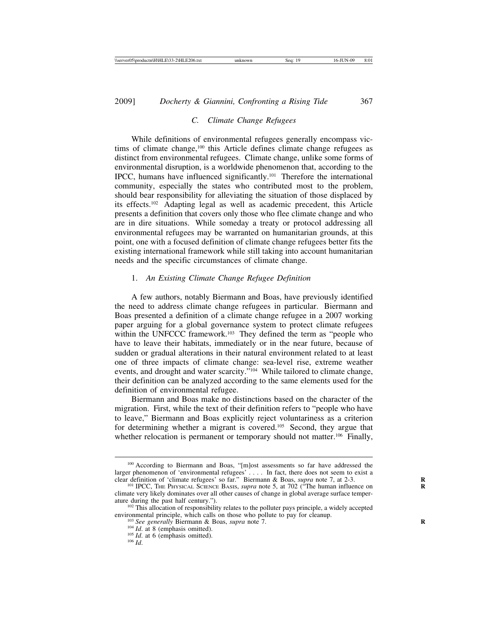## *C. Climate Change Refugees*

While definitions of environmental refugees generally encompass victims of climate change,<sup>100</sup> this Article defines climate change refugees as distinct from environmental refugees. Climate change, unlike some forms of environmental disruption, is a worldwide phenomenon that, according to the IPCC, humans have influenced significantly.101 Therefore the international community, especially the states who contributed most to the problem, should bear responsibility for alleviating the situation of those displaced by its effects.102 Adapting legal as well as academic precedent, this Article presents a definition that covers only those who flee climate change and who are in dire situations. While someday a treaty or protocol addressing all environmental refugees may be warranted on humanitarian grounds, at this point, one with a focused definition of climate change refugees better fits the existing international framework while still taking into account humanitarian needs and the specific circumstances of climate change.

## 1. *An Existing Climate Change Refugee Definition*

A few authors, notably Biermann and Boas, have previously identified the need to address climate change refugees in particular. Biermann and Boas presented a definition of a climate change refugee in a 2007 working paper arguing for a global governance system to protect climate refugees within the UNFCCC framework.<sup>103</sup> They defined the term as "people who have to leave their habitats, immediately or in the near future, because of sudden or gradual alterations in their natural environment related to at least one of three impacts of climate change: sea-level rise, extreme weather events, and drought and water scarcity."104 While tailored to climate change, their definition can be analyzed according to the same elements used for the definition of environmental refugee.

Biermann and Boas make no distinctions based on the character of the migration. First, while the text of their definition refers to "people who have to leave," Biermann and Boas explicitly reject voluntariness as a criterion for determining whether a migrant is covered.<sup>105</sup> Second, they argue that whether relocation is permanent or temporary should not matter.<sup>106</sup> Finally,

<sup>100</sup> According to Biermann and Boas, "[m]ost assessments so far have addressed the larger phenomenon of 'environmental refugees' . . . . In fact, there does not seem to exist a clear definition of 'climate refugees' so far." Biermann & Boas, *supra* note 7, at 2-3.<br><sup>101</sup> IPCC, THE PHYSICAL SCIENCE BASIS, *supra* note 5, at 702 ("The human influence on

climate very likely dominates over all other causes of change in global average surface temperature during the past half century.").  $102$  This allocation of responsibility relates to the polluter pays principle, a widely accepted

environmental principle, which calls on those who pollute to pay for cleanup.<br>
<sup>103</sup> *See generally* Biermann & Boas, *supra* note 7.<br>
<sup>104</sup> *Id.* at 8 (emphasis omitted).<br>
<sup>105</sup> *Id.* at 6 (emphasis omitted).<br>
<sup>106</sup> *Id.*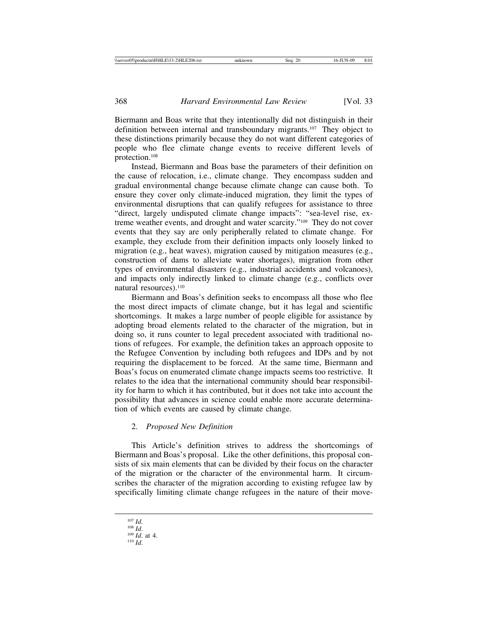Biermann and Boas write that they intentionally did not distinguish in their definition between internal and transboundary migrants.107 They object to these distinctions primarily because they do not want different categories of people who flee climate change events to receive different levels of protection.108

Instead, Biermann and Boas base the parameters of their definition on the cause of relocation, i.e., climate change. They encompass sudden and gradual environmental change because climate change can cause both. To ensure they cover only climate-induced migration, they limit the types of environmental disruptions that can qualify refugees for assistance to three "direct, largely undisputed climate change impacts": "sea-level rise, extreme weather events, and drought and water scarcity."109 They do not cover events that they say are only peripherally related to climate change. For example, they exclude from their definition impacts only loosely linked to migration (e.g., heat waves), migration caused by mitigation measures (e.g., construction of dams to alleviate water shortages), migration from other types of environmental disasters (e.g., industrial accidents and volcanoes), and impacts only indirectly linked to climate change (e.g., conflicts over natural resources).<sup>110</sup>

Biermann and Boas's definition seeks to encompass all those who flee the most direct impacts of climate change, but it has legal and scientific shortcomings. It makes a large number of people eligible for assistance by adopting broad elements related to the character of the migration, but in doing so, it runs counter to legal precedent associated with traditional notions of refugees. For example, the definition takes an approach opposite to the Refugee Convention by including both refugees and IDPs and by not requiring the displacement to be forced. At the same time, Biermann and Boas's focus on enumerated climate change impacts seems too restrictive. It relates to the idea that the international community should bear responsibility for harm to which it has contributed, but it does not take into account the possibility that advances in science could enable more accurate determination of which events are caused by climate change.

#### 2. *Proposed New Definition*

This Article's definition strives to address the shortcomings of Biermann and Boas's proposal. Like the other definitions, this proposal consists of six main elements that can be divided by their focus on the character of the migration or the character of the environmental harm. It circumscribes the character of the migration according to existing refugee law by specifically limiting climate change refugees in the nature of their move-

<sup>107</sup> *Id*. <sup>108</sup> *Id*. <sup>109</sup> *Id*. at 4. <sup>110</sup> *Id*.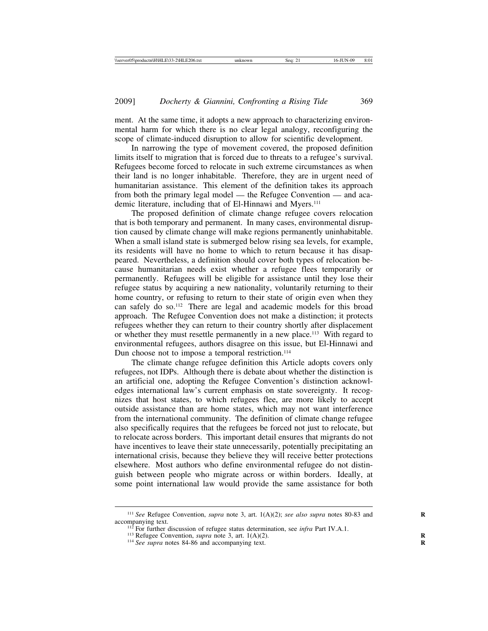ment. At the same time, it adopts a new approach to characterizing environmental harm for which there is no clear legal analogy, reconfiguring the scope of climate-induced disruption to allow for scientific development.

In narrowing the type of movement covered, the proposed definition limits itself to migration that is forced due to threats to a refugee's survival. Refugees become forced to relocate in such extreme circumstances as when their land is no longer inhabitable. Therefore, they are in urgent need of humanitarian assistance. This element of the definition takes its approach from both the primary legal model — the Refugee Convention — and academic literature, including that of El-Hinnawi and Myers.<sup>111</sup>

The proposed definition of climate change refugee covers relocation that is both temporary and permanent. In many cases, environmental disruption caused by climate change will make regions permanently uninhabitable. When a small island state is submerged below rising sea levels, for example, its residents will have no home to which to return because it has disappeared. Nevertheless, a definition should cover both types of relocation because humanitarian needs exist whether a refugee flees temporarily or permanently. Refugees will be eligible for assistance until they lose their refugee status by acquiring a new nationality, voluntarily returning to their home country, or refusing to return to their state of origin even when they can safely do so.112 There are legal and academic models for this broad approach. The Refugee Convention does not make a distinction; it protects refugees whether they can return to their country shortly after displacement or whether they must resettle permanently in a new place.<sup>113</sup> With regard to environmental refugees, authors disagree on this issue, but El-Hinnawi and Dun choose not to impose a temporal restriction.<sup>114</sup>

The climate change refugee definition this Article adopts covers only refugees, not IDPs. Although there is debate about whether the distinction is an artificial one, adopting the Refugee Convention's distinction acknowledges international law's current emphasis on state sovereignty. It recognizes that host states, to which refugees flee, are more likely to accept outside assistance than are home states, which may not want interference from the international community. The definition of climate change refugee also specifically requires that the refugees be forced not just to relocate, but to relocate across borders. This important detail ensures that migrants do not have incentives to leave their state unnecessarily, potentially precipitating an international crisis, because they believe they will receive better protections elsewhere. Most authors who define environmental refugee do not distinguish between people who migrate across or within borders. Ideally, at some point international law would provide the same assistance for both

<sup>&</sup>lt;sup>111</sup> See Refugee Convention, *supra* note 3, art. 1(A)(2); *see also supra* notes 80-83 and accompanying text.<br>
<sup>112</sup> For further discussion of refugee status determination, see *infra* Part IV.A.1.<br>
<sup>113</sup> Refugee Convention, *supra* note 3, art. 1(A)(2).<br>
<sup>114</sup> See supra notes 84-86 and accompanying text.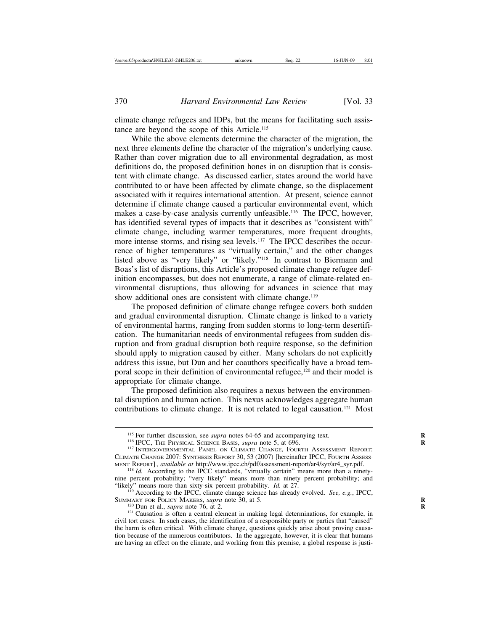climate change refugees and IDPs, but the means for facilitating such assistance are beyond the scope of this Article.115

While the above elements determine the character of the migration, the next three elements define the character of the migration's underlying cause. Rather than cover migration due to all environmental degradation, as most definitions do, the proposed definition hones in on disruption that is consistent with climate change. As discussed earlier, states around the world have contributed to or have been affected by climate change, so the displacement associated with it requires international attention. At present, science cannot determine if climate change caused a particular environmental event, which makes a case-by-case analysis currently unfeasible.116 The IPCC, however, has identified several types of impacts that it describes as "consistent with" climate change, including warmer temperatures, more frequent droughts, more intense storms, and rising sea levels.<sup>117</sup> The IPCC describes the occurrence of higher temperatures as "virtually certain," and the other changes listed above as "very likely" or "likely."118 In contrast to Biermann and Boas's list of disruptions, this Article's proposed climate change refugee definition encompasses, but does not enumerate, a range of climate-related environmental disruptions, thus allowing for advances in science that may show additional ones are consistent with climate change.<sup>119</sup>

The proposed definition of climate change refugee covers both sudden and gradual environmental disruption. Climate change is linked to a variety of environmental harms, ranging from sudden storms to long-term desertification. The humanitarian needs of environmental refugees from sudden disruption and from gradual disruption both require response, so the definition should apply to migration caused by either. Many scholars do not explicitly address this issue, but Dun and her coauthors specifically have a broad temporal scope in their definition of environmental refugee,<sup>120</sup> and their model is appropriate for climate change.

The proposed definition also requires a nexus between the environmental disruption and human action. This nexus acknowledges aggregate human contributions to climate change. It is not related to legal causation.121 Most

"likely" means more than sixty-six percent probability. *Id.* at 27. <sup>119</sup> According to the IPCC, climate change science has already evolved. *See, e.g.*, IPCC, SUMMARY FOR POLICY MAKERS, *supra* note 30, at 5.

<sup>&</sup>lt;sup>115</sup> For further discussion, see *supra* notes 64-65 and accompanying text.<br><sup>116</sup> IPCC, THE PHYSICAL SCIENCE BASIS, *supra* note 5, at 696.<br><sup>117</sup> INTERGOVERNMENTAL PANEL ON CLIMATE CHANGE, FOURTH ASSESSMENT REPORT: CLIMATE CHANGE 2007: SYNTHESIS REPORT 30, 53 (2007) [hereinafter IPCC, FOURTH ASSESSMENT REPORT], *available at* http://www.ipcc.ch/pdf/assessment-report/ar4/syr/ar4\_syr.pdf.

MENT REPORT] , *available at* http://www.ipcc.ch/pdf/assessment-report/ar4/syr/ar4\_syr.pdf. <sup>118</sup> *Id.* According to the IPCC standards, "virtually certain" means more than a ninetynine percent probability; "very likely" means more than ninety percent probability; and

ISUMMARY FOR POLICIAL MAKERS, *supra* note 76, at 2.<br><sup>120</sup> Dun et al., *supra* note 76, at 2.<br><sup>121</sup> Causation is often a central element in making legal determinations, for example, in civil tort cases. In such cases, the identification of a responsible party or parties that "caused" the harm is often critical. With climate change, questions quickly arise about proving causation because of the numerous contributors. In the aggregate, however, it is clear that humans are having an effect on the climate, and working from this premise, a global response is justi-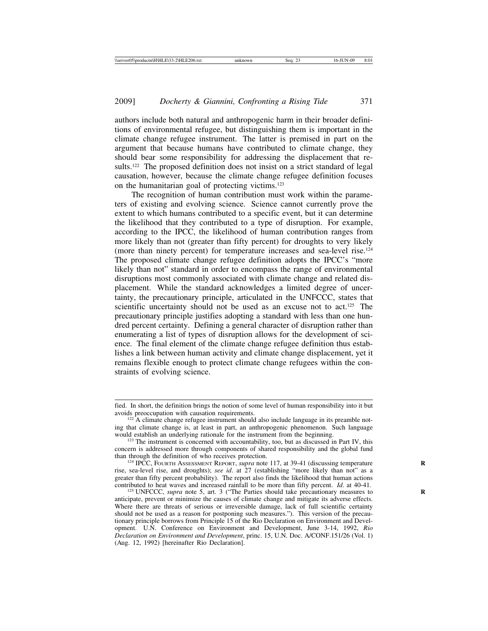authors include both natural and anthropogenic harm in their broader definitions of environmental refugee, but distinguishing them is important in the climate change refugee instrument. The latter is premised in part on the argument that because humans have contributed to climate change, they should bear some responsibility for addressing the displacement that results.122 The proposed definition does not insist on a strict standard of legal causation, however, because the climate change refugee definition focuses on the humanitarian goal of protecting victims.123

The recognition of human contribution must work within the parameters of existing and evolving science. Science cannot currently prove the extent to which humans contributed to a specific event, but it can determine the likelihood that they contributed to a type of disruption. For example, according to the IPCC, the likelihood of human contribution ranges from more likely than not (greater than fifty percent) for droughts to very likely (more than ninety percent) for temperature increases and sea-level rise.124 The proposed climate change refugee definition adopts the IPCC's "more likely than not" standard in order to encompass the range of environmental disruptions most commonly associated with climate change and related displacement. While the standard acknowledges a limited degree of uncertainty, the precautionary principle, articulated in the UNFCCC, states that scientific uncertainty should not be used as an excuse not to act.<sup>125</sup> The precautionary principle justifies adopting a standard with less than one hundred percent certainty. Defining a general character of disruption rather than enumerating a list of types of disruption allows for the development of science. The final element of the climate change refugee definition thus establishes a link between human activity and climate change displacement, yet it remains flexible enough to protect climate change refugees within the constraints of evolving science.

fied. In short, the definition brings the notion of some level of human responsibility into it but

A climate change refugee instrument should also include language in its preamble noting that climate change is, at least in part, an anthropogenic phenomenon. Such language would establish an underlying rationale for the instrument from the beginning.

 $123$  The instrument is concerned with accountability, too, but as discussed in Part IV, this concern is addressed more through components of shared responsibility and the global fund

<sup>&</sup>lt;sup>124</sup> IPCC, FOURTH ASSESSMENT REPORT, *supra* note 117, at 39-41 (discussing temperature rise, sea-level rise, and droughts); *see id*. at 27 (establishing "more likely than not" as a greater than fifty percent probability). The report also finds the likelihood that human actions contributed to heat waves and increased rainfall to be more than fifty percent. *Id.* at 40-41.

<sup>&</sup>lt;sup>125</sup> UNFCCC, *supra* note 5, art. 3 ("The Parties should take precautionary measures to anticipate, prevent or minimize the causes of climate change and mitigate its adverse effects. Where there are threats of serious or irreversible damage, lack of full scientific certainty should not be used as a reason for postponing such measures."). This version of the precautionary principle borrows from Principle 15 of the Rio Declaration on Environment and Development. U.N. Conference on Environment and Development, June 3-14, 1992, *Rio Declaration on Environment and Development*, princ. 15, U.N. Doc. A/CONF.151/26 (Vol. 1) (Aug. 12, 1992) [hereinafter Rio Declaration].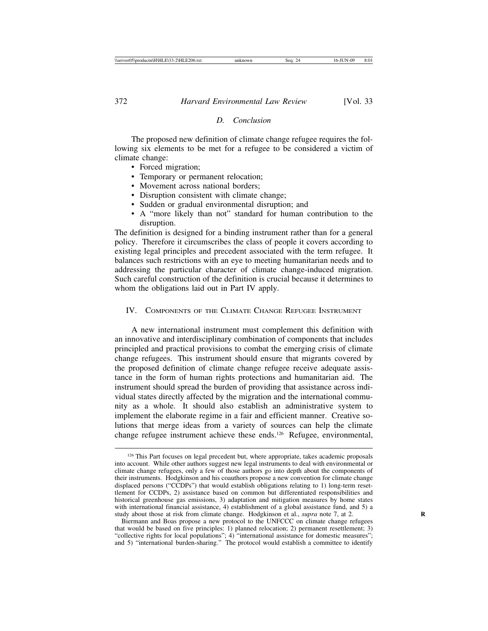#### *D. Conclusion*

The proposed new definition of climate change refugee requires the following six elements to be met for a refugee to be considered a victim of climate change:

- Forced migration;
- Temporary or permanent relocation;
- Movement across national borders:
- Disruption consistent with climate change;
- Sudden or gradual environmental disruption; and
- A "more likely than not" standard for human contribution to the disruption.

The definition is designed for a binding instrument rather than for a general policy. Therefore it circumscribes the class of people it covers according to existing legal principles and precedent associated with the term refugee. It balances such restrictions with an eye to meeting humanitarian needs and to addressing the particular character of climate change-induced migration. Such careful construction of the definition is crucial because it determines to whom the obligations laid out in Part IV apply.

#### IV. COMPONENTS OF THE CLIMATE CHANGE REFUGEE INSTRUMENT

A new international instrument must complement this definition with an innovative and interdisciplinary combination of components that includes principled and practical provisions to combat the emerging crisis of climate change refugees. This instrument should ensure that migrants covered by the proposed definition of climate change refugee receive adequate assistance in the form of human rights protections and humanitarian aid. The instrument should spread the burden of providing that assistance across individual states directly affected by the migration and the international community as a whole. It should also establish an administrative system to implement the elaborate regime in a fair and efficient manner. Creative solutions that merge ideas from a variety of sources can help the climate change refugee instrument achieve these ends.126 Refugee, environmental,

<sup>&</sup>lt;sup>126</sup> This Part focuses on legal precedent but, where appropriate, takes academic proposals into account. While other authors suggest new legal instruments to deal with environmental or climate change refugees, only a few of those authors go into depth about the components of their instruments. Hodgkinson and his coauthors propose a new convention for climate change displaced persons ("CCDPs") that would establish obligations relating to 1) long-term resettlement for CCDPs, 2) assistance based on common but differentiated responsibilities and historical greenhouse gas emissions, 3) adaptation and mitigation measures by home states with international financial assistance, 4) establishment of a global assistance fund, and 5) a study about those at risk from climate change. Hodgkinson et al., *supra* note 7, at 2. **R**

Biermann and Boas propose a new protocol to the UNFCCC on climate change refugees that would be based on five principles: 1) planned relocation; 2) permanent resettlement; 3) "collective rights for local populations"; 4) "international assistance for domestic measures"; and 5) "international burden-sharing." The protocol would establish a committee to identify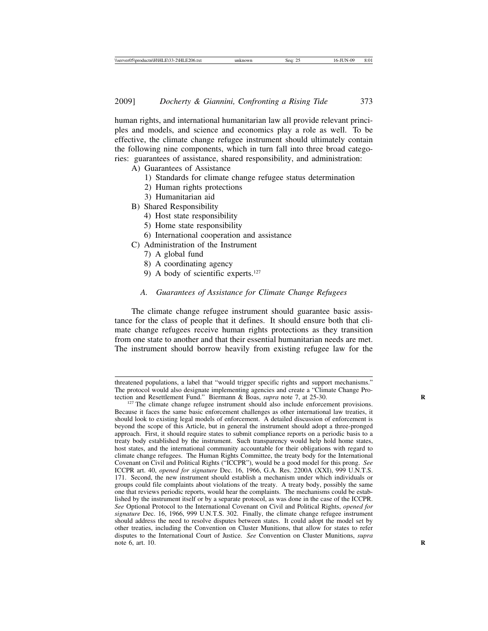human rights, and international humanitarian law all provide relevant principles and models, and science and economics play a role as well. To be effective, the climate change refugee instrument should ultimately contain the following nine components, which in turn fall into three broad categories: guarantees of assistance, shared responsibility, and administration:

- A) Guarantees of Assistance
	- 1) Standards for climate change refugee status determination
	- 2) Human rights protections
	- 3) Humanitarian aid
- B) Shared Responsibility
	- 4) Host state responsibility
	- 5) Home state responsibility
	- 6) International cooperation and assistance
- C) Administration of the Instrument
	- 7) A global fund
	- 8) A coordinating agency
	- 9) A body of scientific experts.127

#### *A. Guarantees of Assistance for Climate Change Refugees*

The climate change refugee instrument should guarantee basic assistance for the class of people that it defines. It should ensure both that climate change refugees receive human rights protections as they transition from one state to another and that their essential humanitarian needs are met. The instrument should borrow heavily from existing refugee law for the

threatened populations, a label that "would trigger specific rights and support mechanisms." The protocol would also designate implementing agencies and create a "Climate Change Protection and Resettlement Fund." Biermann & Boas, *supra* note 7, at 25-30.

<sup>&</sup>lt;sup>127</sup> The climate change refugee instrument should also include enforcement provisions. Because it faces the same basic enforcement challenges as other international law treaties, it should look to existing legal models of enforcement. A detailed discussion of enforcement is beyond the scope of this Article, but in general the instrument should adopt a three-pronged approach. First, it should require states to submit compliance reports on a periodic basis to a treaty body established by the instrument. Such transparency would help hold home states, host states, and the international community accountable for their obligations with regard to climate change refugees. The Human Rights Committee, the treaty body for the International Covenant on Civil and Political Rights ("ICCPR"), would be a good model for this prong. *See* ICCPR art. 40, *opened for signature* Dec. 16, 1966, G.A. Res. 2200A (XXI), 999 U.N.T.S. 171. Second, the new instrument should establish a mechanism under which individuals or groups could file complaints about violations of the treaty. A treaty body, possibly the same one that reviews periodic reports, would hear the complaints. The mechanisms could be established by the instrument itself or by a separate protocol, as was done in the case of the ICCPR. *See* Optional Protocol to the International Covenant on Civil and Political Rights, *opened for signature* Dec. 16, 1966, 999 U.N.T.S. 302. Finally, the climate change refugee instrument should address the need to resolve disputes between states. It could adopt the model set by other treaties, including the Convention on Cluster Munitions, that allow for states to refer disputes to the International Court of Justice. *See* Convention on Cluster Munitions, *supra* note 6, art. 10. **R**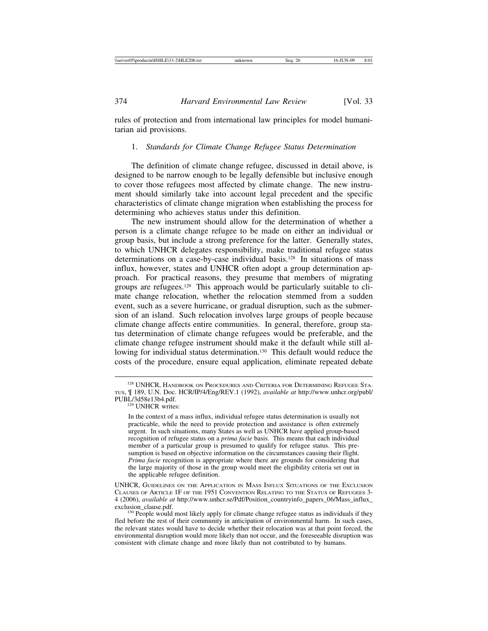rules of protection and from international law principles for model humanitarian aid provisions.

## 1. *Standards for Climate Change Refugee Status Determination*

The definition of climate change refugee, discussed in detail above, is designed to be narrow enough to be legally defensible but inclusive enough to cover those refugees most affected by climate change. The new instrument should similarly take into account legal precedent and the specific characteristics of climate change migration when establishing the process for determining who achieves status under this definition.

The new instrument should allow for the determination of whether a person is a climate change refugee to be made on either an individual or group basis, but include a strong preference for the latter. Generally states, to which UNHCR delegates responsibility, make traditional refugee status determinations on a case-by-case individual basis.<sup>128</sup> In situations of mass influx, however, states and UNHCR often adopt a group determination approach. For practical reasons, they presume that members of migrating groups are refugees.129 This approach would be particularly suitable to climate change relocation, whether the relocation stemmed from a sudden event, such as a severe hurricane, or gradual disruption, such as the submersion of an island. Such relocation involves large groups of people because climate change affects entire communities. In general, therefore, group status determination of climate change refugees would be preferable, and the climate change refugee instrument should make it the default while still allowing for individual status determination.<sup>130</sup> This default would reduce the costs of the procedure, ensure equal application, eliminate repeated debate

<sup>&</sup>lt;sup>128</sup> UNHCR, HANDBOOK ON PROCEDURES AND CRITERIA FOR DETERMINING REFUGEE STA-TUS, ¶ 189, U.N. Doc. HCR/IP/4/Eng/REV.1 (1992), *available at* http://www.unhcr.org/publ/

<sup>&</sup>lt;sup>129</sup> UNHCR writes:

In the context of a mass influx, individual refugee status determination is usually not practicable, while the need to provide protection and assistance is often extremely urgent. In such situations, many States as well as UNHCR have applied group-based recognition of refugee status on a *prima facie* basis. This means that each individual member of a particular group is presumed to qualify for refugee status. This presumption is based on objective information on the circumstances causing their flight. *Prima facie* recognition is appropriate where there are grounds for considering that the large majority of those in the group would meet the eligibility criteria set out in the applicable refugee definition.

UNHCR, GUIDELINES ON THE APPLICATION IN MASS INFLUX SITUATIONS OF THE EXCLUSION CLAUSES OF ARTICLE 1F OF THE 1951 CONVENTION RELATING TO THE STATUS OF REFUGEES 3- 4 (2006), *available at* http://www.unhcr.se/Pdf/Position\_countryinfo\_papers\_06/Mass\_influx\_

 $e^{2\lambda}$  People would most likely apply for climate change refugee status as individuals if they fled before the rest of their community in anticipation of environmental harm. In such cases, the relevant states would have to decide whether their relocation was at that point forced, the environmental disruption would more likely than not occur, and the foreseeable disruption was consistent with climate change and more likely than not contributed to by humans.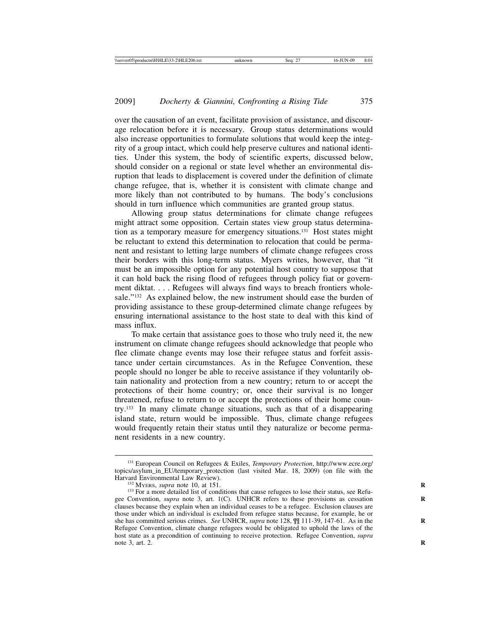over the causation of an event, facilitate provision of assistance, and discourage relocation before it is necessary. Group status determinations would also increase opportunities to formulate solutions that would keep the integrity of a group intact, which could help preserve cultures and national identities. Under this system, the body of scientific experts, discussed below, should consider on a regional or state level whether an environmental disruption that leads to displacement is covered under the definition of climate change refugee, that is, whether it is consistent with climate change and more likely than not contributed to by humans. The body's conclusions should in turn influence which communities are granted group status.

Allowing group status determinations for climate change refugees might attract some opposition. Certain states view group status determination as a temporary measure for emergency situations.131 Host states might be reluctant to extend this determination to relocation that could be permanent and resistant to letting large numbers of climate change refugees cross their borders with this long-term status. Myers writes, however, that "it must be an impossible option for any potential host country to suppose that it can hold back the rising flood of refugees through policy fiat or government diktat. . . . Refugees will always find ways to breach frontiers wholesale."132 As explained below, the new instrument should ease the burden of providing assistance to these group-determined climate change refugees by ensuring international assistance to the host state to deal with this kind of mass influx.

To make certain that assistance goes to those who truly need it, the new instrument on climate change refugees should acknowledge that people who flee climate change events may lose their refugee status and forfeit assistance under certain circumstances. As in the Refugee Convention, these people should no longer be able to receive assistance if they voluntarily obtain nationality and protection from a new country; return to or accept the protections of their home country; or, once their survival is no longer threatened, refuse to return to or accept the protections of their home country.133 In many climate change situations, such as that of a disappearing island state, return would be impossible. Thus, climate change refugees would frequently retain their status until they naturalize or become permanent residents in a new country.

<sup>131</sup> European Council on Refugees & Exiles, *Temporary Protection*, http://www.ecre.org/ topics/asylum\_in\_EU/temporary\_protection (last visited Mar. 18, 2009) (on file with the

<sup>&</sup>lt;sup>132</sup> MyERS, *supra* note 10, at 151.<br><sup>133</sup> For a more detailed list of conditions that cause refugees to lose their status, see Refugee Convention, *supra* note 3, art. 1(C). UNHCR refers to these provisions as cessation clauses because they explain when an individual ceases to be a refugee. Exclusion clauses are those under which an individual is excluded from refugee status because, for example, he or she has committed serious crimes. *See* UNHCR, *supra* note 128,  $\int$  111-39, 147-61. As in the Refugee Convention, climate change refugees would be obligated to uphold the laws of the host state as a precondition of continuing to receive protection. Refugee Convention, *supra* note 3, art. 2.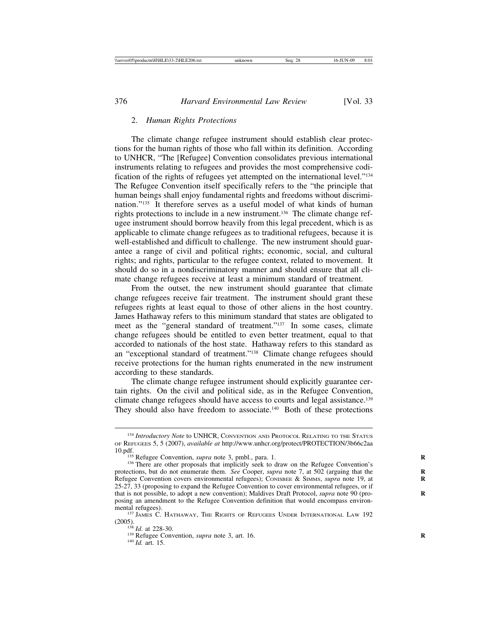#### 2. *Human Rights Protections*

The climate change refugee instrument should establish clear protections for the human rights of those who fall within its definition. According to UNHCR, "The [Refugee] Convention consolidates previous international instruments relating to refugees and provides the most comprehensive codification of the rights of refugees yet attempted on the international level."134 The Refugee Convention itself specifically refers to the "the principle that human beings shall enjoy fundamental rights and freedoms without discrimination."135 It therefore serves as a useful model of what kinds of human rights protections to include in a new instrument.136 The climate change refugee instrument should borrow heavily from this legal precedent, which is as applicable to climate change refugees as to traditional refugees, because it is well-established and difficult to challenge. The new instrument should guarantee a range of civil and political rights; economic, social, and cultural rights; and rights, particular to the refugee context, related to movement. It should do so in a nondiscriminatory manner and should ensure that all climate change refugees receive at least a minimum standard of treatment.

From the outset, the new instrument should guarantee that climate change refugees receive fair treatment. The instrument should grant these refugees rights at least equal to those of other aliens in the host country. James Hathaway refers to this minimum standard that states are obligated to meet as the "general standard of treatment."137 In some cases, climate change refugees should be entitled to even better treatment, equal to that accorded to nationals of the host state. Hathaway refers to this standard as an "exceptional standard of treatment."138 Climate change refugees should receive protections for the human rights enumerated in the new instrument according to these standards.

The climate change refugee instrument should explicitly guarantee certain rights. On the civil and political side, as in the Refugee Convention, climate change refugees should have access to courts and legal assistance.139 They should also have freedom to associate.<sup>140</sup> Both of these protections

<sup>134</sup> *Introductory Note* to UNHCR, CONVENTION AND PROTOCOL RELATING TO THE STATUS OF REFUGEES 5, 5 (2007), *available at* http://www.unhcr.org/protect/PROTECTION/3b66c2aa 10.pdf. <sup>135</sup> Refugee Convention, *supra* note 3, pmbl., para. 1. <sup>136</sup> There are other proposals that implicitly seek to draw on the Refugee Convention's

protections, but do not enumerate them. *See* Cooper, *supra* note 7, at 502 (arguing that the Refugee Convention covers environmental refugees); CONISBEE & SIMMS, *supra* note 19, at 25-27, 33 (proposing to expand the Refugee Convention to cover environmental refugees, or if that is not possible, to adopt a new convention); Maldives Draft Protocol, *supra* note 90 (pro- **R** posing an amendment to the Refugee Convention definition that would encompass environ-

 $^{137}$  James C. HATHAWAY, THE RIGHTS OF REFUGEES UNDER INTERNATIONAL LAW 192 (2005).<br> $^{138}$  *Id at 228-30*.

<sup>&</sup>lt;sup>139</sup> Refugee Convention, *supra* note 3, art. 16. <sup>140</sup> *Id.* art. 15.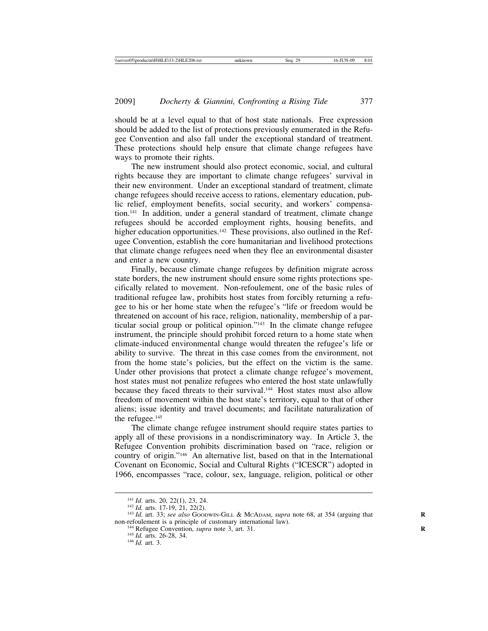should be at a level equal to that of host state nationals. Free expression should be added to the list of protections previously enumerated in the Refugee Convention and also fall under the exceptional standard of treatment. These protections should help ensure that climate change refugees have ways to promote their rights.

The new instrument should also protect economic, social, and cultural rights because they are important to climate change refugees' survival in their new environment. Under an exceptional standard of treatment, climate change refugees should receive access to rations, elementary education, public relief, employment benefits, social security, and workers' compensation.141 In addition, under a general standard of treatment, climate change refugees should be accorded employment rights, housing benefits, and higher education opportunities.<sup>142</sup> These provisions, also outlined in the Refugee Convention, establish the core humanitarian and livelihood protections that climate change refugees need when they flee an environmental disaster and enter a new country.

Finally, because climate change refugees by definition migrate across state borders, the new instrument should ensure some rights protections specifically related to movement. Non-refoulement, one of the basic rules of traditional refugee law, prohibits host states from forcibly returning a refugee to his or her home state when the refugee's "life or freedom would be threatened on account of his race, religion, nationality, membership of a particular social group or political opinion."143 In the climate change refugee instrument, the principle should prohibit forced return to a home state when climate-induced environmental change would threaten the refugee's life or ability to survive. The threat in this case comes from the environment, not from the home state's policies, but the effect on the victim is the same. Under other provisions that protect a climate change refugee's movement, host states must not penalize refugees who entered the host state unlawfully because they faced threats to their survival.<sup>144</sup> Host states must also allow freedom of movement within the host state's territory, equal to that of other aliens; issue identity and travel documents; and facilitate naturalization of the refugee.<sup>145</sup>

The climate change refugee instrument should require states parties to apply all of these provisions in a nondiscriminatory way. In Article 3, the Refugee Convention prohibits discrimination based on "race, religion or country of origin."146 An alternative list, based on that in the International Covenant on Economic, Social and Cultural Rights ("ICESCR") adopted in 1966, encompasses "race, colour, sex, language, religion, political or other

<sup>141</sup> *Id*. arts. 20, 22(1), 23, 24. <sup>142</sup> *Id.* arts. 17-19, 21, 22(2). <sup>143</sup> *Id.* art. 33; *see also* GOODWIN-GILL & MCADAM, *supra* note 68, at 354 (arguing that **<sup>R</sup>** non-refoulement is a principle of customary international law).<br><sup>144</sup> Refugee Convention, *supra* note 3, art. 31.<br><sup>145</sup> *Id.* art. 3.<br><sup>146</sup> *Id.* art. 3.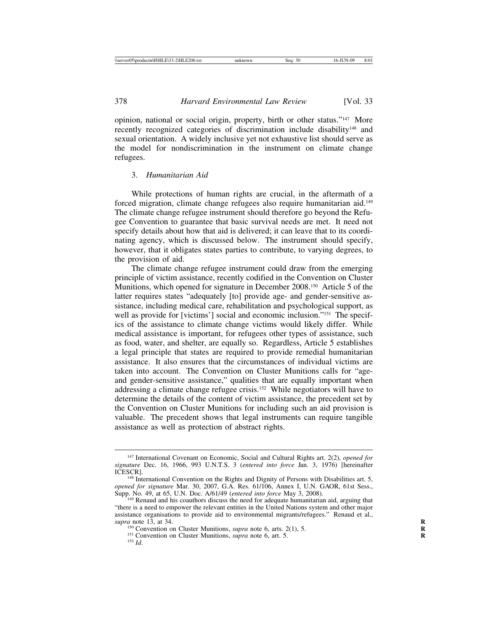opinion, national or social origin, property, birth or other status."147 More recently recognized categories of discrimination include disability<sup>148</sup> and sexual orientation. A widely inclusive yet not exhaustive list should serve as the model for nondiscrimination in the instrument on climate change refugees.

#### 3. *Humanitarian Aid*

While protections of human rights are crucial, in the aftermath of a forced migration, climate change refugees also require humanitarian aid.149 The climate change refugee instrument should therefore go beyond the Refugee Convention to guarantee that basic survival needs are met. It need not specify details about how that aid is delivered; it can leave that to its coordinating agency, which is discussed below. The instrument should specify, however, that it obligates states parties to contribute, to varying degrees, to the provision of aid.

The climate change refugee instrument could draw from the emerging principle of victim assistance, recently codified in the Convention on Cluster Munitions, which opened for signature in December 2008.150 Article 5 of the latter requires states "adequately [to] provide age- and gender-sensitive assistance, including medical care, rehabilitation and psychological support, as well as provide for [victims'] social and economic inclusion."<sup>151</sup> The specifics of the assistance to climate change victims would likely differ. While medical assistance is important, for refugees other types of assistance, such as food, water, and shelter, are equally so. Regardless, Article 5 establishes a legal principle that states are required to provide remedial humanitarian assistance. It also ensures that the circumstances of individual victims are taken into account. The Convention on Cluster Munitions calls for "ageand gender-sensitive assistance," qualities that are equally important when addressing a climate change refugee crisis.152 While negotiators will have to determine the details of the content of victim assistance, the precedent set by the Convention on Cluster Munitions for including such an aid provision is valuable. The precedent shows that legal instruments can require tangible assistance as well as protection of abstract rights.

<sup>147</sup> International Covenant on Economic, Social and Cultural Rights art. 2(2), *opened for signature* Dec. 16, 1966, 993 U.N.T.S. 3 (*entered into force* Jan. 3, 1976) [hereinafter

<sup>&</sup>lt;sup>148</sup> International Convention on the Rights and Dignity of Persons with Disabilities art. 5, *opened for signature* Mar. 30, 2007, G.A. Res. 61/106, Annex I, U.N. GAOR, 61st Sess.,

<sup>&</sup>lt;sup>149</sup> Renaud and his coauthors discuss the need for adequate humanitarian aid, arguing that "there is a need to empower the relevant entities in the United Nations system and other major assistance organisations to provide aid to environmental migrants/refugees." Renaud et al., supra note 13, at 34.

<sup>&</sup>lt;sup>150</sup> Convention on Cluster Munitions, *supra* note 6, arts. 2(1), 5. <sup>151</sup> Convention on Cluster Munitions, *supra* note 6, art. 5. <sup>152</sup> *Id*.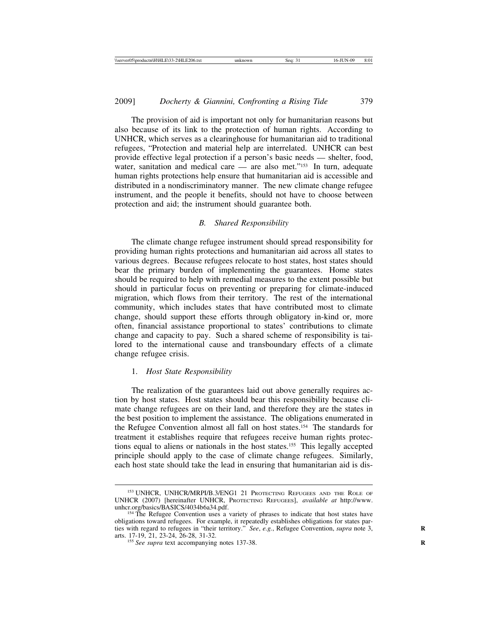The provision of aid is important not only for humanitarian reasons but also because of its link to the protection of human rights. According to UNHCR, which serves as a clearinghouse for humanitarian aid to traditional refugees, "Protection and material help are interrelated. UNHCR can best provide effective legal protection if a person's basic needs — shelter, food, water, sanitation and medical care — are also met."<sup>153</sup> In turn, adequate human rights protections help ensure that humanitarian aid is accessible and distributed in a nondiscriminatory manner. The new climate change refugee instrument, and the people it benefits, should not have to choose between protection and aid; the instrument should guarantee both.

## *B. Shared Responsibility*

The climate change refugee instrument should spread responsibility for providing human rights protections and humanitarian aid across all states to various degrees. Because refugees relocate to host states, host states should bear the primary burden of implementing the guarantees. Home states should be required to help with remedial measures to the extent possible but should in particular focus on preventing or preparing for climate-induced migration, which flows from their territory. The rest of the international community, which includes states that have contributed most to climate change, should support these efforts through obligatory in-kind or, more often, financial assistance proportional to states' contributions to climate change and capacity to pay. Such a shared scheme of responsibility is tailored to the international cause and transboundary effects of a climate change refugee crisis.

## 1. *Host State Responsibility*

The realization of the guarantees laid out above generally requires action by host states. Host states should bear this responsibility because climate change refugees are on their land, and therefore they are the states in the best position to implement the assistance. The obligations enumerated in the Refugee Convention almost all fall on host states.154 The standards for treatment it establishes require that refugees receive human rights protections equal to aliens or nationals in the host states.155 This legally accepted principle should apply to the case of climate change refugees. Similarly, each host state should take the lead in ensuring that humanitarian aid is dis-

<sup>153</sup> UNHCR, UNHCR/MRPI/B.3/ENG1 21 PROTECTING REFUGEES AND THE ROLE OF UNHCR (2007) [hereinafter UNHCR, PROTECTING REFUGEES], *available at* http://www. unhcr.org/basics/BASICS/4034b6a34.pdf. 154 The Refugee Convention uses a variety of phrases to indicate that host states have

obligations toward refugees. For example, it repeatedly establishes obligations for states parties with regard to refugees in "their territory." *See*, *e.g.*, Refugee Convention, *supra* note 3, arts. 17-19, 21, 23-24, 26-28, 31-32. <sup>155</sup> *See supra* text accompanying notes 137-38. **<sup>R</sup>**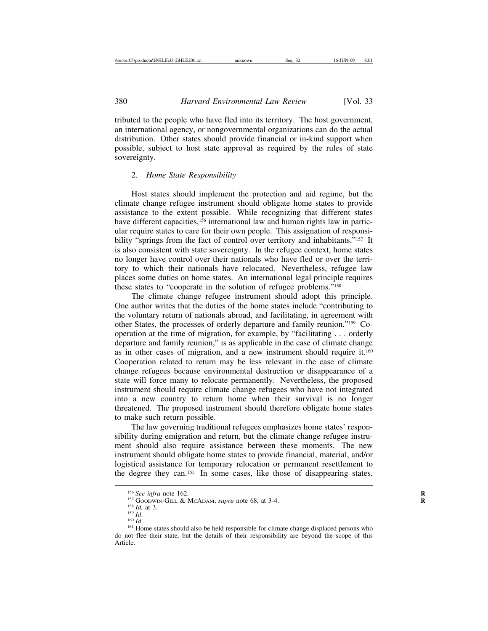tributed to the people who have fled into its territory. The host government, an international agency, or nongovernmental organizations can do the actual distribution. Other states should provide financial or in-kind support when possible, subject to host state approval as required by the rules of state sovereignty.

#### 2. *Home State Responsibility*

Host states should implement the protection and aid regime, but the climate change refugee instrument should obligate home states to provide assistance to the extent possible. While recognizing that different states have different capacities,<sup>156</sup> international law and human rights law in particular require states to care for their own people. This assignation of responsibility "springs from the fact of control over territory and inhabitants."<sup>157</sup> It is also consistent with state sovereignty. In the refugee context, home states no longer have control over their nationals who have fled or over the territory to which their nationals have relocated. Nevertheless, refugee law places some duties on home states. An international legal principle requires these states to "cooperate in the solution of refugee problems."158

The climate change refugee instrument should adopt this principle. One author writes that the duties of the home states include "contributing to the voluntary return of nationals abroad, and facilitating, in agreement with other States, the processes of orderly departure and family reunion."159 Cooperation at the time of migration, for example, by "facilitating . . . orderly departure and family reunion," is as applicable in the case of climate change as in other cases of migration, and a new instrument should require it.160 Cooperation related to return may be less relevant in the case of climate change refugees because environmental destruction or disappearance of a state will force many to relocate permanently. Nevertheless, the proposed instrument should require climate change refugees who have not integrated into a new country to return home when their survival is no longer threatened. The proposed instrument should therefore obligate home states to make such return possible.

The law governing traditional refugees emphasizes home states' responsibility during emigration and return, but the climate change refugee instrument should also require assistance between these moments. The new instrument should obligate home states to provide financial, material, and/or logistical assistance for temporary relocation or permanent resettlement to the degree they can.161 In some cases, like those of disappearing states,

<sup>&</sup>lt;sup>156</sup> See infra note 162.<br><sup>157</sup> GOODWIN-GILL & MCADAM, *supra* note 68, at 3-4.<br><sup>158</sup> Id. at 3.<br><sup>159</sup> Id.<br><sup>159</sup> Id.<br><sup>160</sup> Id.<br><sup>160</sup> Id. do not flee their state, but the details of their responsibility are beyond the scope of this Article.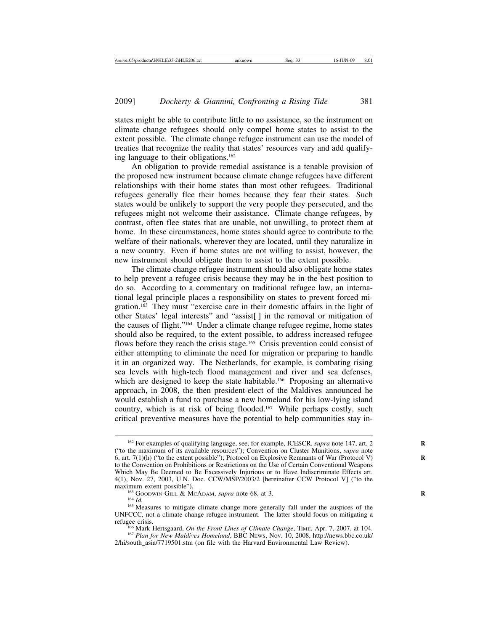states might be able to contribute little to no assistance, so the instrument on climate change refugees should only compel home states to assist to the extent possible. The climate change refugee instrument can use the model of treaties that recognize the reality that states' resources vary and add qualifying language to their obligations.162

An obligation to provide remedial assistance is a tenable provision of the proposed new instrument because climate change refugees have different relationships with their home states than most other refugees. Traditional refugees generally flee their homes because they fear their states. Such states would be unlikely to support the very people they persecuted, and the refugees might not welcome their assistance. Climate change refugees, by contrast, often flee states that are unable, not unwilling, to protect them at home. In these circumstances, home states should agree to contribute to the welfare of their nationals, wherever they are located, until they naturalize in a new country. Even if home states are not willing to assist, however, the new instrument should obligate them to assist to the extent possible.

The climate change refugee instrument should also obligate home states to help prevent a refugee crisis because they may be in the best position to do so. According to a commentary on traditional refugee law, an international legal principle places a responsibility on states to prevent forced migration.163 They must "exercise care in their domestic affairs in the light of other States' legal interests" and "assist[ ] in the removal or mitigation of the causes of flight."164 Under a climate change refugee regime, home states should also be required, to the extent possible, to address increased refugee flows before they reach the crisis stage.<sup>165</sup> Crisis prevention could consist of either attempting to eliminate the need for migration or preparing to handle it in an organized way. The Netherlands, for example, is combating rising sea levels with high-tech flood management and river and sea defenses, which are designed to keep the state habitable.<sup>166</sup> Proposing an alternative approach, in 2008, the then president-elect of the Maldives announced he would establish a fund to purchase a new homeland for his low-lying island country, which is at risk of being flooded.<sup>167</sup> While perhaps costly, such critical preventive measures have the potential to help communities stay in-

<sup>&</sup>lt;sup>162</sup> For examples of qualifying language, see, for example, ICESCR, *supra* note 147, art. 2 ("to the maximum of its available resources"); Convention on Cluster Munitions, *supra* note 6, art. 7(1)(h) ("to the extent possible"); Protocol on Explosive Remnants of War (Protocol V) to the Convention on Prohibitions or Restrictions on the Use of Certain Conventional Weapons Which May Be Deemed to Be Excessively Injurious or to Have Indiscriminate Effects art. 4(1), Nov. 27, 2003, U.N. Doc. CCW/MSP/2003/2 [hereinafter CCW Protocol V] ("to the

<sup>&</sup>lt;sup>163</sup> GOODWIN-GILL & MCADAM, *supra* note 68, at 3.<br><sup>164</sup> *Id.* <sup>165</sup> Measures to mitigate climate change more generally fall under the auspices of the UNFCCC, not a climate change refugee instrument. The latter should focus on mitigating a

refugee crisis. <sup>166</sup> Mark Hertsgaard, *On the Front Lines of Climate Change*, TIME, Apr. 7, 2007, at 104. <sup>167</sup> *Plan for New Maldives Homeland*, BBC NEWS, Nov. 10, 2008, http://news.bbc.co.uk/

<sup>2/</sup>hi/south\_asia/7719501.stm (on file with the Harvard Environmental Law Review).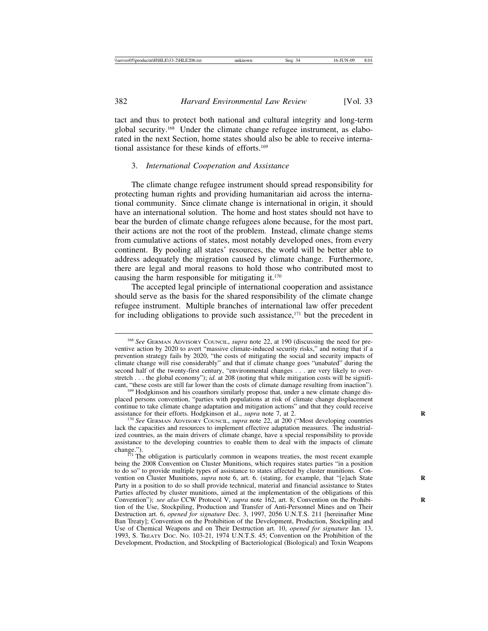tact and thus to protect both national and cultural integrity and long-term global security.168 Under the climate change refugee instrument, as elaborated in the next Section, home states should also be able to receive international assistance for these kinds of efforts.169

## 3. *International Cooperation and Assistance*

The climate change refugee instrument should spread responsibility for protecting human rights and providing humanitarian aid across the international community. Since climate change is international in origin, it should have an international solution. The home and host states should not have to bear the burden of climate change refugees alone because, for the most part, their actions are not the root of the problem. Instead, climate change stems from cumulative actions of states, most notably developed ones, from every continent. By pooling all states' resources, the world will be better able to address adequately the migration caused by climate change. Furthermore, there are legal and moral reasons to hold those who contributed most to causing the harm responsible for mitigating it.170

The accepted legal principle of international cooperation and assistance should serve as the basis for the shared responsibility of the climate change refugee instrument. Multiple branches of international law offer precedent for including obligations to provide such assistance, $171$  but the precedent in

placed persons convention, "parties with populations at risk of climate change displacement continue to take climate change adaptation and mitigation actions" and that they could receive assistance for their efforts. Hodgkinson et al., *supra* note 7, at 2.

<sup>170</sup> See GERMAN ADVISORY COUNCIL, *supra* note 22, at 200 ("Most developing countries lack the capacities and resources to implement effective adaptation measures. The industrialized countries, as the main drivers of climate change, have a special responsibility to provide assistance to the developing countries to enable them to deal with the impacts of climate

<sup>168</sup> *See* GERMAN ADVISORY COUNCIL, *supra* note 22, at 190 (discussing the need for preventive action by 2020 to avert "massive climate-induced security risks," and noting that if a prevention strategy fails by 2020, "the costs of mitigating the social and security impacts of climate change will rise considerably" and that if climate change goes "unabated" during the second half of the twenty-first century, "environmental changes . . . are very likely to overstretch . . . the global economy"); *id.* at 208 (noting that while mitigation costs will be significant, "these costs are still far lower than the costs of climate damage resulting from inaction"). <sup>169</sup> Hodgkinson and his coauthors similarly propose that, under a new climate change dis-

change.").  $171$  The obligation is particularly common in weapons treaties, the most recent example being the 2008 Convention on Cluster Munitions, which requires states parties "in a position to do so" to provide multiple types of assistance to states affected by cluster munitions. Convention on Cluster Munitions, *supra* note 6, art. 6. (stating, for example, that "[e]ach State Party in a position to do so shall provide technical, material and financial assistance to States Parties affected by cluster munitions, aimed at the implementation of the obligations of this Convention"); *see also* CCW Protocol V, *supra* note 162, art. 8; Convention on the Prohibition of the Use, Stockpiling, Production and Transfer of Anti-Personnel Mines and on Their Destruction art. 6, *opened for signature* Dec. 3, 1997, 2056 U.N.T.S. 211 [hereinafter Mine Ban Treaty]; Convention on the Prohibition of the Development, Production, Stockpiling and Use of Chemical Weapons and on Their Destruction art. 10, *opened for signature* Jan. 13, 1993, S. TREATY DOC. NO. 103-21, 1974 U.N.T.S. 45; Convention on the Prohibition of the Development, Production, and Stockpiling of Bacteriological (Biological) and Toxin Weapons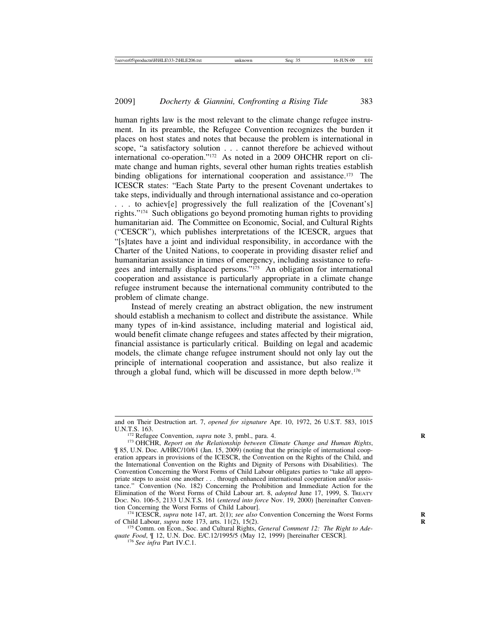human rights law is the most relevant to the climate change refugee instrument. In its preamble, the Refugee Convention recognizes the burden it places on host states and notes that because the problem is international in scope, "a satisfactory solution . . . cannot therefore be achieved without international co-operation."172 As noted in a 2009 OHCHR report on climate change and human rights, several other human rights treaties establish binding obligations for international cooperation and assistance.<sup>173</sup> The ICESCR states: "Each State Party to the present Covenant undertakes to take steps, individually and through international assistance and co-operation . . . to achiev[e] progressively the full realization of the [Covenant's] rights."174 Such obligations go beyond promoting human rights to providing humanitarian aid. The Committee on Economic, Social, and Cultural Rights ("CESCR"), which publishes interpretations of the ICESCR, argues that "[s]tates have a joint and individual responsibility, in accordance with the Charter of the United Nations, to cooperate in providing disaster relief and humanitarian assistance in times of emergency, including assistance to refugees and internally displaced persons."175 An obligation for international cooperation and assistance is particularly appropriate in a climate change refugee instrument because the international community contributed to the problem of climate change.

Instead of merely creating an abstract obligation, the new instrument should establish a mechanism to collect and distribute the assistance. While many types of in-kind assistance, including material and logistical aid, would benefit climate change refugees and states affected by their migration, financial assistance is particularly critical. Building on legal and academic models, the climate change refugee instrument should not only lay out the principle of international cooperation and assistance, but also realize it through a global fund, which will be discussed in more depth below.176

and on Their Destruction art. 7, *opened for signature* Apr. 10, 1972, 26 U.S.T. 583, 1015

<sup>&</sup>lt;sup>172</sup> Refugee Convention, *supra* note 3, pmbl., para. 4.<br><sup>173</sup> OHCHR, *Report on the Relationship between Climate Change and Human Rights*, ¶ 85, U.N. Doc. A/HRC/10/61 (Jan. 15, 2009) (noting that the principle of international cooperation appears in provisions of the ICESCR, the Convention on the Rights of the Child, and the International Convention on the Rights and Dignity of Persons with Disabilities). The Convention Concerning the Worst Forms of Child Labour obligates parties to "take all appropriate steps to assist one another . . . through enhanced international cooperation and/or assistance." Convention (No. 182) Concerning the Prohibition and Immediate Action for the Elimination of the Worst Forms of Child Labour art. 8, *adopted* June 17, 1999, S. TREATY DOC. NO. 106-5, 2133 U.N.T.S. 161 (*entered into force* Nov. 19, 2000) [hereinafter Conven-

<sup>&</sup>lt;sup>174</sup> ICESCR, *supra* note 147, art. 2(1); *see also* Convention Concerning the Worst Forms of Child Labour, *supra* note 173, arts. 11(2), 15(2).<br><sup>175</sup> Comm. on Econ., Soc. and Cultural Rights, *General Comment 12: The Right to Ade-*

*quate Food*, ¶ 12, U.N. Doc. E/C.12/1995/5 (May 12, 1999) [hereinafter CESCR]. <sup>176</sup> *See infra* Part IV.C.1.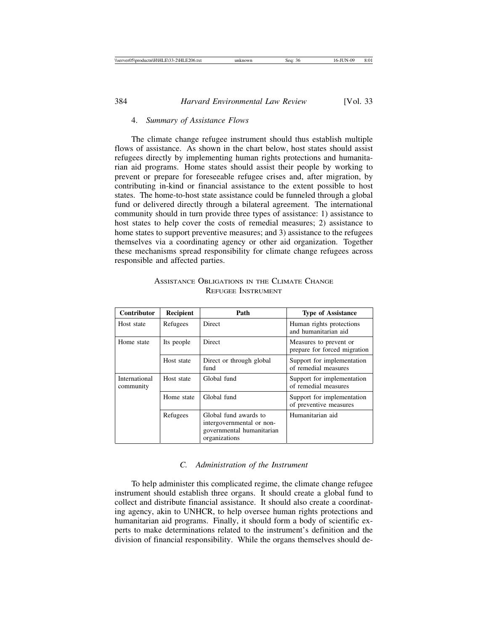### 4. *Summary of Assistance Flows*

The climate change refugee instrument should thus establish multiple flows of assistance. As shown in the chart below, host states should assist refugees directly by implementing human rights protections and humanitarian aid programs. Home states should assist their people by working to prevent or prepare for foreseeable refugee crises and, after migration, by contributing in-kind or financial assistance to the extent possible to host states. The home-to-host state assistance could be funneled through a global fund or delivered directly through a bilateral agreement. The international community should in turn provide three types of assistance: 1) assistance to host states to help cover the costs of remedial measures; 2) assistance to home states to support preventive measures; and 3) assistance to the refugees themselves via a coordinating agency or other aid organization. Together these mechanisms spread responsibility for climate change refugees across responsible and affected parties.

| <b>Contributor</b>         | Recipient  | Path                                                                                             | <b>Type of Assistance</b>                              |
|----------------------------|------------|--------------------------------------------------------------------------------------------------|--------------------------------------------------------|
| Host state                 | Refugees   | Direct                                                                                           | Human rights protections<br>and humanitarian aid       |
| Home state                 | Its people | <b>Direct</b>                                                                                    | Measures to prevent or<br>prepare for forced migration |
|                            | Host state | Direct or through global<br>fund                                                                 | Support for implementation<br>of remedial measures     |
| International<br>community | Host state | Global fund                                                                                      | Support for implementation<br>of remedial measures     |
|                            | Home state | Global fund                                                                                      | Support for implementation<br>of preventive measures   |
|                            | Refugees   | Global fund awards to<br>intergovernmental or non-<br>governmental humanitarian<br>organizations | Humanitarian aid                                       |

ASSISTANCE OBLIGATIONS IN THE CLIMATE CHANGE REFUGEE INSTRUMENT

#### *C. Administration of the Instrument*

To help administer this complicated regime, the climate change refugee instrument should establish three organs. It should create a global fund to collect and distribute financial assistance. It should also create a coordinating agency, akin to UNHCR, to help oversee human rights protections and humanitarian aid programs. Finally, it should form a body of scientific experts to make determinations related to the instrument's definition and the division of financial responsibility. While the organs themselves should de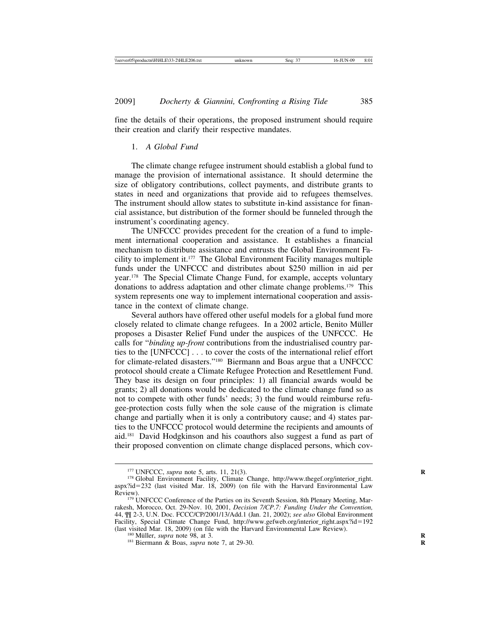fine the details of their operations, the proposed instrument should require their creation and clarify their respective mandates.

## 1. *A Global Fund*

The climate change refugee instrument should establish a global fund to manage the provision of international assistance. It should determine the size of obligatory contributions, collect payments, and distribute grants to states in need and organizations that provide aid to refugees themselves. The instrument should allow states to substitute in-kind assistance for financial assistance, but distribution of the former should be funneled through the instrument's coordinating agency.

The UNFCCC provides precedent for the creation of a fund to implement international cooperation and assistance. It establishes a financial mechanism to distribute assistance and entrusts the Global Environment Facility to implement it.177 The Global Environment Facility manages multiple funds under the UNFCCC and distributes about \$250 million in aid per year.178 The Special Climate Change Fund, for example, accepts voluntary donations to address adaptation and other climate change problems.179 This system represents one way to implement international cooperation and assistance in the context of climate change.

Several authors have offered other useful models for a global fund more closely related to climate change refugees. In a 2002 article, Benito Müller proposes a Disaster Relief Fund under the auspices of the UNFCCC. He calls for "*binding up-front* contributions from the industrialised country parties to the [UNFCCC] . . . to cover the costs of the international relief effort for climate-related disasters."180 Biermann and Boas argue that a UNFCCC protocol should create a Climate Refugee Protection and Resettlement Fund. They base its design on four principles: 1) all financial awards would be grants; 2) all donations would be dedicated to the climate change fund so as not to compete with other funds' needs; 3) the fund would reimburse refugee-protection costs fully when the sole cause of the migration is climate change and partially when it is only a contributory cause; and 4) states parties to the UNFCCC protocol would determine the recipients and amounts of aid.181 David Hodgkinson and his coauthors also suggest a fund as part of their proposed convention on climate change displaced persons, which cov-

<sup>&</sup>lt;sup>177</sup> UNFCCC, *supra* note 5, arts. 11, 21(3).<br><sup>178</sup> Global Environment Facility, Climate Change, http://www.thegef.org/interior\_right. aspx?id=232 (last visited Mar. 18, 2009) (on file with the Harvard Environmental Law Review).<br><sup>179</sup> UNFCCC Conference of the Parties on its Seventh Session, 8th Plenary Meeting, Mar-

rakesh, Morocco, Oct. 29-Nov. 10, 2001, *Decision 7/CP.7: Funding Under the Convention,* 44, ¶¶ 2-3, U.N. Doc. FCCC/CP/2001/13/Add.1 (Jan. 21, 2002); *see also* Global Environment Facility, Special Climate Change Fund, http://www.gefweb.org/interior\_right.aspx?id=192 (last visited Mar. 18, 2009) (on file with the Harvard Environmental Law Review). <sup>180</sup> Müller, *supra* note 98, at 3. <sup>181</sup> Biermann & Boas, *supra* note 7, at 29-30.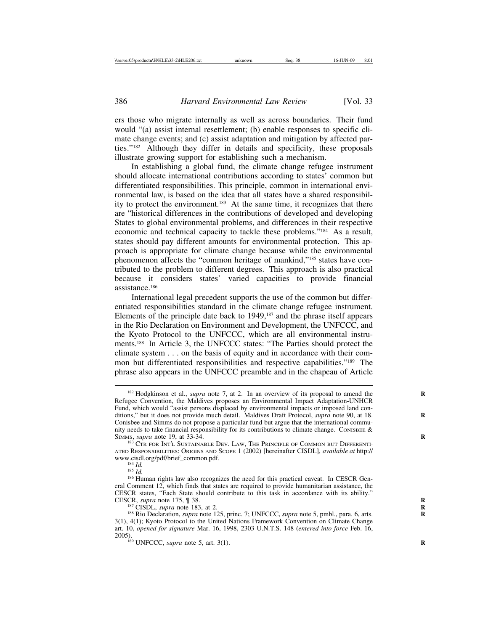ers those who migrate internally as well as across boundaries. Their fund would "(a) assist internal resettlement; (b) enable responses to specific climate change events; and (c) assist adaptation and mitigation by affected parties."182 Although they differ in details and specificity, these proposals illustrate growing support for establishing such a mechanism.

In establishing a global fund, the climate change refugee instrument should allocate international contributions according to states' common but differentiated responsibilities. This principle, common in international environmental law, is based on the idea that all states have a shared responsibility to protect the environment.<sup>183</sup> At the same time, it recognizes that there are "historical differences in the contributions of developed and developing States to global environmental problems, and differences in their respective economic and technical capacity to tackle these problems."184 As a result, states should pay different amounts for environmental protection. This approach is appropriate for climate change because while the environmental phenomenon affects the "common heritage of mankind,"185 states have contributed to the problem to different degrees. This approach is also practical because it considers states' varied capacities to provide financial assistance.186

International legal precedent supports the use of the common but differentiated responsibilities standard in the climate change refugee instrument. Elements of the principle date back to 1949,187 and the phrase itself appears in the Rio Declaration on Environment and Development, the UNFCCC, and the Kyoto Protocol to the UNFCCC, which are all environmental instruments.188 In Article 3, the UNFCCC states: "The Parties should protect the climate system . . . on the basis of equity and in accordance with their common but differentiated responsibilities and respective capabilities."189 The phrase also appears in the UNFCCC preamble and in the chapeau of Article

<sup>&</sup>lt;sup>182</sup> Hodgkinson et al., *supra* note 7, at 2. In an overview of its proposal to amend the Refugee Convention, the Maldives proposes an Environmental Impact Adaptation-UNHCR Fund, which would "assist persons displaced by environmental impacts or imposed land conditions," but it does not provide much detail. Maldives Draft Protocol, *supra* note 90, at 18. **R** Conisbee and Simms do not propose a particular fund but argue that the international community needs to take financial responsibility for its contributions to climate change. CONISBEE  $\&$ SIMMS, *supra* note 19, at 33-34. **R** 183 CTR FOR INT'L SUSTAINABLE DEV. LAW, THE PRINCIPLE OF COMMON BUT DIFFERENTI-

ATED RESPONSIBILITIES: ORIGINS AND SCOPE 1 (2002) [hereinafter CISDL], *available at* http://

<sup>&</sup>lt;sup>184</sup> *Id.* <sup>185</sup> *Id.* 185 *Id.* 186 **Ig.** 186 **IG.** 186 **IG.** 186 **IG.** 186 **IG.** 186 **Human rights law also recognizes the need for this practical caveat. In CESCR Gen**eral Comment 12, which finds that states are required to provide humanitarian assistance, the CESCR states, "Each State should contribute to this task in accordance with its ability."<br>CESCR, *supra* note 175, ¶ 38.

<sup>&</sup>lt;sup>187</sup> CISDL, *supra* note 183, at 2.<br><sup>188</sup> Rio Declaration, *supra* note 125, princ. 7; UNFCCC, *supra* note 5, pmbl., para. 6, arts. 3(1), 4(1); Kyoto Protocol to the United Nations Framework Convention on Climate Change art. 10, *opened for signature* Mar. 16, 1998, 2303 U.N.T.S. 148 (*entered into force* Feb. 16, 2005). <sup>189</sup> UNFCCC, *supra* note 5, art. 3(1). **<sup>R</sup>**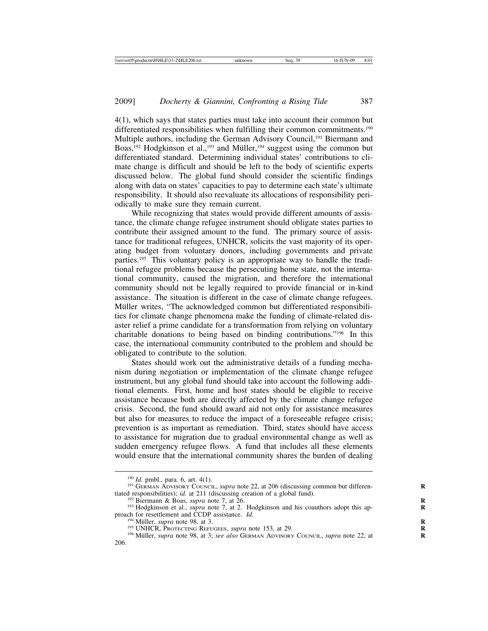4(1), which says that states parties must take into account their common but differentiated responsibilities when fulfilling their common commitments.<sup>190</sup> Multiple authors, including the German Advisory Council,<sup>191</sup> Biermann and Boas,<sup>192</sup> Hodgkinson et al.,<sup>193</sup> and Müller,<sup>194</sup> suggest using the common but differentiated standard. Determining individual states' contributions to climate change is difficult and should be left to the body of scientific experts discussed below. The global fund should consider the scientific findings along with data on states' capacities to pay to determine each state's ultimate responsibility. It should also reevaluate its allocations of responsibility periodically to make sure they remain current.

While recognizing that states would provide different amounts of assistance, the climate change refugee instrument should obligate states parties to contribute their assigned amount to the fund. The primary source of assistance for traditional refugees, UNHCR, solicits the vast majority of its operating budget from voluntary donors, including governments and private parties.195 This voluntary policy is an appropriate way to handle the traditional refugee problems because the persecuting home state, not the international community, caused the migration, and therefore the international community should not be legally required to provide financial or in-kind assistance. The situation is different in the case of climate change refugees. Müller writes, "The acknowledged common but differentiated responsibilities for climate change phenomena make the funding of climate-related disaster relief a prime candidate for a transformation from relying on voluntary charitable donations to being based on binding contributions."196 In this case, the international community contributed to the problem and should be obligated to contribute to the solution.

States should work out the administrative details of a funding mechanism during negotiation or implementation of the climate change refugee instrument, but any global fund should take into account the following additional elements. First, home and host states should be eligible to receive assistance because both are directly affected by the climate change refugee crisis. Second, the fund should award aid not only for assistance measures but also for measures to reduce the impact of a foreseeable refugee crisis; prevention is as important as remediation. Third, states should have access to assistance for migration due to gradual environmental change as well as sudden emergency refugee flows. A fund that includes all these elements would ensure that the international community shares the burden of dealing

<sup>&</sup>lt;sup>190</sup> *Id.* pmbl., para. 6, art. 4(1).<br><sup>191</sup> GERMAN ADVISORY COUNCIL, *supra* note 22, at 206 (discussing common but differentiated responsibilities); *id.* at 211 (discussing creation of a global fund).

<sup>&</sup>lt;sup>192</sup> Biermann & Boas, *supra* note 7, at 26.<br><sup>193</sup> Hodgkinson et al., *supra* note 7, at 2. Hodgkinson and his coauthors adopt this approach for resettlement and CCDP assistance. *Id*.

<sup>&</sup>lt;sup>194</sup> Müller, *supra* note 98, at 3.<br><sup>195</sup> UNHCR, Protecting Refugees, *supra* note 153, at 29.<br><sup>196</sup> Müller, *supra* note 98, at 3; *see also* German Advisory Council, *supra* note 22, at 206.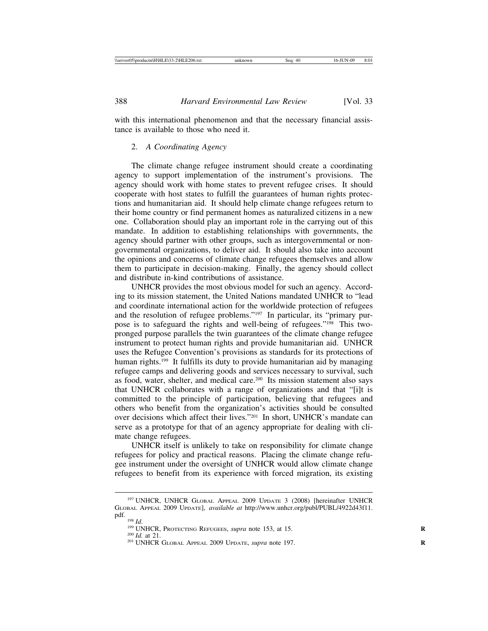with this international phenomenon and that the necessary financial assistance is available to those who need it.

#### 2. *A Coordinating Agency*

The climate change refugee instrument should create a coordinating agency to support implementation of the instrument's provisions. The agency should work with home states to prevent refugee crises. It should cooperate with host states to fulfill the guarantees of human rights protections and humanitarian aid. It should help climate change refugees return to their home country or find permanent homes as naturalized citizens in a new one. Collaboration should play an important role in the carrying out of this mandate. In addition to establishing relationships with governments, the agency should partner with other groups, such as intergovernmental or nongovernmental organizations, to deliver aid. It should also take into account the opinions and concerns of climate change refugees themselves and allow them to participate in decision-making. Finally, the agency should collect and distribute in-kind contributions of assistance.

UNHCR provides the most obvious model for such an agency. According to its mission statement, the United Nations mandated UNHCR to "lead and coordinate international action for the worldwide protection of refugees and the resolution of refugee problems."197 In particular, its "primary purpose is to safeguard the rights and well-being of refugees."198 This twopronged purpose parallels the twin guarantees of the climate change refugee instrument to protect human rights and provide humanitarian aid. UNHCR uses the Refugee Convention's provisions as standards for its protections of human rights.<sup>199</sup> It fulfills its duty to provide humanitarian aid by managing refugee camps and delivering goods and services necessary to survival, such as food, water, shelter, and medical care.200 Its mission statement also says that UNHCR collaborates with a range of organizations and that "[i]t is committed to the principle of participation, believing that refugees and others who benefit from the organization's activities should be consulted over decisions which affect their lives."201 In short, UNHCR's mandate can serve as a prototype for that of an agency appropriate for dealing with climate change refugees.

UNHCR itself is unlikely to take on responsibility for climate change refugees for policy and practical reasons. Placing the climate change refugee instrument under the oversight of UNHCR would allow climate change refugees to benefit from its experience with forced migration, its existing

<sup>197</sup> UNHCR, UNHCR GLOBAL APPEAL 2009 UPDATE 3 (2008) [hereinafter UNHCR GLOBAL APPEAL 2009 UPDATE], *available at* http://www.unhcr.org/publ/PUBL/4922d43f11.

<sup>&</sup>lt;sup>199</sup> UNHCR, PROTECTING REFUGEES, *supra* note 153, at 15. <sup>200</sup> *Id.* at 21. **R** 201 UNHCR GLOBAL APPEAL 2009 UPDATE, *supra* note 197.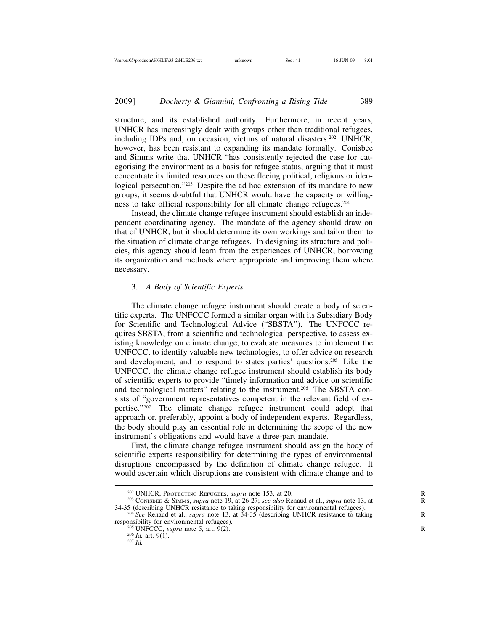structure, and its established authority. Furthermore, in recent years, UNHCR has increasingly dealt with groups other than traditional refugees, including IDPs and, on occasion, victims of natural disasters.202 UNHCR, however, has been resistant to expanding its mandate formally. Conisbee and Simms write that UNHCR "has consistently rejected the case for categorising the environment as a basis for refugee status, arguing that it must concentrate its limited resources on those fleeing political, religious or ideological persecution."203 Despite the ad hoc extension of its mandate to new groups, it seems doubtful that UNHCR would have the capacity or willingness to take official responsibility for all climate change refugees.204

Instead, the climate change refugee instrument should establish an independent coordinating agency. The mandate of the agency should draw on that of UNHCR, but it should determine its own workings and tailor them to the situation of climate change refugees. In designing its structure and policies, this agency should learn from the experiences of UNHCR, borrowing its organization and methods where appropriate and improving them where necessary.

## 3. *A Body of Scientific Experts*

The climate change refugee instrument should create a body of scientific experts. The UNFCCC formed a similar organ with its Subsidiary Body for Scientific and Technological Advice ("SBSTA"). The UNFCCC requires SBSTA, from a scientific and technological perspective, to assess existing knowledge on climate change, to evaluate measures to implement the UNFCCC, to identify valuable new technologies, to offer advice on research and development, and to respond to states parties' questions.205 Like the UNFCCC, the climate change refugee instrument should establish its body of scientific experts to provide "timely information and advice on scientific and technological matters" relating to the instrument.<sup>206</sup> The SBSTA consists of "government representatives competent in the relevant field of expertise."<sup>207</sup> The climate change refugee instrument could adopt that approach or, preferably, appoint a body of independent experts. Regardless, the body should play an essential role in determining the scope of the new instrument's obligations and would have a three-part mandate.

First, the climate change refugee instrument should assign the body of scientific experts responsibility for determining the types of environmental disruptions encompassed by the definition of climate change refugee. It would ascertain which disruptions are consistent with climate change and to

<sup>&</sup>lt;sup>202</sup> UNHCR, PROTECTING REFUGEES, *supra* note 153, at 20.<br><sup>203</sup> CONISBEE & SIMMS, *supra* note 19, at 26-27; *see also* Renaud et al., *supra* note 13, at 34-35 (describing UNHCR resistance to taking responsibility for en

<sup>&</sup>lt;sup>204</sup> *See* Renaud et al., *supra* note 13, at  $34-35$  (describing UNHCR resistance to taking responsibility for environmental refugees).

<sup>&</sup>lt;sup>205</sup> UNFCCC, *supra* note 5, art. 9(2). <sup>206</sup> *Id.* art. 9(1). <sup>207</sup> *Id.*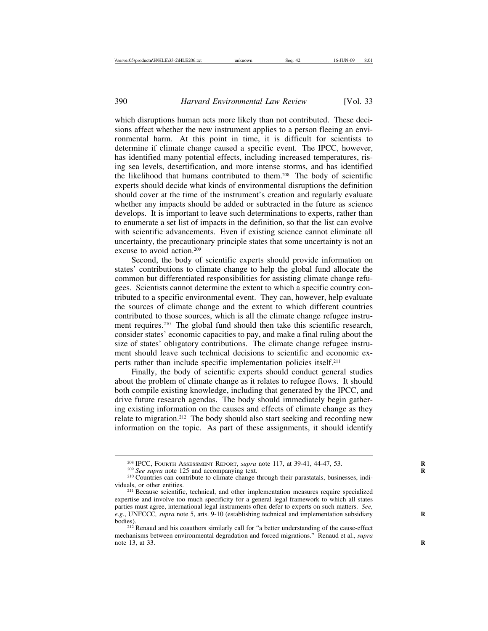which disruptions human acts more likely than not contributed. These decisions affect whether the new instrument applies to a person fleeing an environmental harm. At this point in time, it is difficult for scientists to determine if climate change caused a specific event. The IPCC, however, has identified many potential effects, including increased temperatures, rising sea levels, desertification, and more intense storms, and has identified the likelihood that humans contributed to them.208 The body of scientific experts should decide what kinds of environmental disruptions the definition should cover at the time of the instrument's creation and regularly evaluate whether any impacts should be added or subtracted in the future as science develops. It is important to leave such determinations to experts, rather than to enumerate a set list of impacts in the definition, so that the list can evolve with scientific advancements. Even if existing science cannot eliminate all uncertainty, the precautionary principle states that some uncertainty is not an excuse to avoid action.209

Second, the body of scientific experts should provide information on states' contributions to climate change to help the global fund allocate the common but differentiated responsibilities for assisting climate change refugees. Scientists cannot determine the extent to which a specific country contributed to a specific environmental event. They can, however, help evaluate the sources of climate change and the extent to which different countries contributed to those sources, which is all the climate change refugee instrument requires.<sup>210</sup> The global fund should then take this scientific research, consider states' economic capacities to pay, and make a final ruling about the size of states' obligatory contributions. The climate change refugee instrument should leave such technical decisions to scientific and economic experts rather than include specific implementation policies itself.211

Finally, the body of scientific experts should conduct general studies about the problem of climate change as it relates to refugee flows. It should both compile existing knowledge, including that generated by the IPCC, and drive future research agendas. The body should immediately begin gathering existing information on the causes and effects of climate change as they relate to migration.212 The body should also start seeking and recording new information on the topic. As part of these assignments, it should identify

<sup>&</sup>lt;sup>208</sup> IPCC, FOURTH ASSESSMENT REPORT, *supra* note 117, at 39-41, 44-47, 53.<br><sup>209</sup> See supra note 125 and accompanying text.<br><sup>210</sup> Countries can contribute to climate change through their parastatals, businesses, individu

<sup>&</sup>lt;sup>211</sup> Because scientific, technical, and other implementation measures require specialized expertise and involve too much specificity for a general legal framework to which all states parties must agree, international legal instruments often defer to experts on such matters. *See, e.g.*, UNFCCC*, supra* note 5, arts. 9-10 (establishing technical and implementation subsidiary bodies).

<sup>&</sup>lt;sup>212</sup> Renaud and his coauthors similarly call for "a better understanding of the cause-effect mechanisms between environmental degradation and forced migrations." Renaud et al., *supra* note 13, at 33. **R**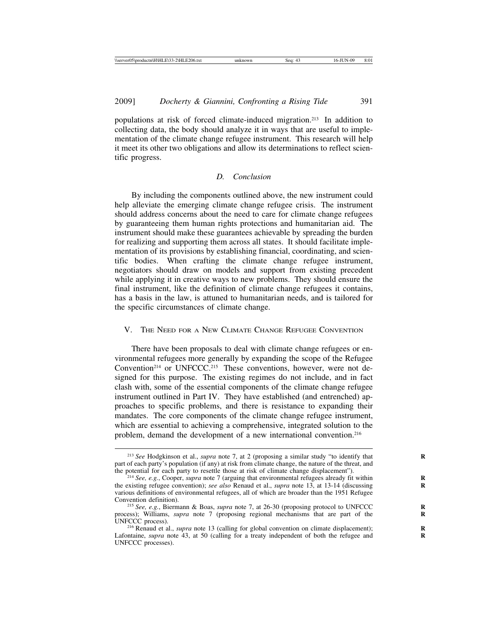populations at risk of forced climate-induced migration.213 In addition to collecting data, the body should analyze it in ways that are useful to implementation of the climate change refugee instrument. This research will help it meet its other two obligations and allow its determinations to reflect scientific progress.

## *D. Conclusion*

By including the components outlined above, the new instrument could help alleviate the emerging climate change refugee crisis. The instrument should address concerns about the need to care for climate change refugees by guaranteeing them human rights protections and humanitarian aid. The instrument should make these guarantees achievable by spreading the burden for realizing and supporting them across all states. It should facilitate implementation of its provisions by establishing financial, coordinating, and scientific bodies. When crafting the climate change refugee instrument, negotiators should draw on models and support from existing precedent while applying it in creative ways to new problems. They should ensure the final instrument, like the definition of climate change refugees it contains, has a basis in the law, is attuned to humanitarian needs, and is tailored for the specific circumstances of climate change.

## V. THE NEED FOR A NEW CLIMATE CHANGE REFUGEE CONVENTION

There have been proposals to deal with climate change refugees or environmental refugees more generally by expanding the scope of the Refugee Convention<sup>214</sup> or UNFCCC.<sup>215</sup> These conventions, however, were not designed for this purpose. The existing regimes do not include, and in fact clash with, some of the essential components of the climate change refugee instrument outlined in Part IV. They have established (and entrenched) approaches to specific problems, and there is resistance to expanding their mandates. The core components of the climate change refugee instrument, which are essential to achieving a comprehensive, integrated solution to the problem, demand the development of a new international convention.<sup>216</sup>

<sup>&</sup>lt;sup>213</sup> See Hodgkinson et al., *supra* note 7, at 2 (proposing a similar study "to identify that part of each party's population (if any) at risk from climate change, the nature of the threat, and the potential for each party to resettle those at risk of climate change displacement'').

<sup>&</sup>lt;sup>214</sup> See, e.g., Cooper, *supra* note 7 (arguing that environmental refugees already fit within the existing refugee convention); *see also* Renaud et al., *supra* note 13, at 13-14 (discussing various definitions of environmental refugees, all of which are broader than the 1951 Refugee

<sup>&</sup>lt;sup>215</sup> *See, e.g.*, Biermann & Boas, *supra* note 7, at 26-30 (proposing protocol to UNFCCC process); Williams, *supra* note 7 (proposing regional mechanisms that are part of the UNFCCC process).

<sup>&</sup>lt;sup>216</sup> Renaud et al., *supra* note 13 (calling for global convention on climate displacement); Lafontaine, *supra* note 43, at 50 (calling for a treaty independent of both the refugee and UNFCCC processes).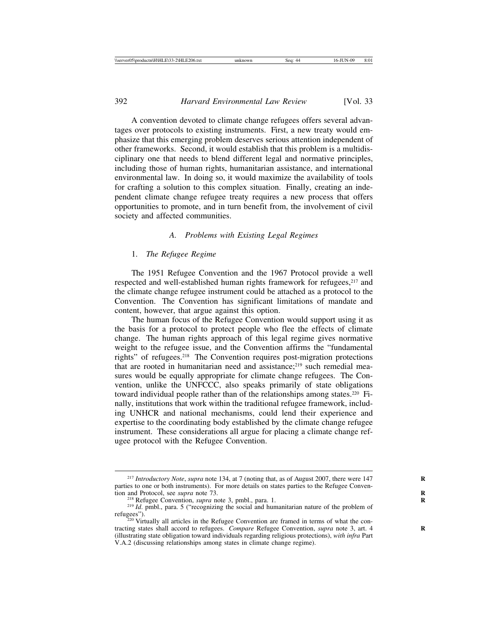A convention devoted to climate change refugees offers several advantages over protocols to existing instruments. First, a new treaty would emphasize that this emerging problem deserves serious attention independent of other frameworks. Second, it would establish that this problem is a multidisciplinary one that needs to blend different legal and normative principles, including those of human rights, humanitarian assistance, and international environmental law. In doing so, it would maximize the availability of tools for crafting a solution to this complex situation. Finally, creating an independent climate change refugee treaty requires a new process that offers opportunities to promote, and in turn benefit from, the involvement of civil society and affected communities.

## *A. Problems with Existing Legal Regimes*

#### 1. *The Refugee Regime*

The 1951 Refugee Convention and the 1967 Protocol provide a well respected and well-established human rights framework for refugees,<sup>217</sup> and the climate change refugee instrument could be attached as a protocol to the Convention. The Convention has significant limitations of mandate and content, however, that argue against this option.

The human focus of the Refugee Convention would support using it as the basis for a protocol to protect people who flee the effects of climate change. The human rights approach of this legal regime gives normative weight to the refugee issue, and the Convention affirms the "fundamental rights" of refugees.218 The Convention requires post-migration protections that are rooted in humanitarian need and assistance;<sup>219</sup> such remedial measures would be equally appropriate for climate change refugees. The Convention, unlike the UNFCCC, also speaks primarily of state obligations toward individual people rather than of the relationships among states.220 Finally, institutions that work within the traditional refugee framework, including UNHCR and national mechanisms, could lend their experience and expertise to the coordinating body established by the climate change refugee instrument. These considerations all argue for placing a climate change refugee protocol with the Refugee Convention.

<sup>&</sup>lt;sup>217</sup> *Introductory Note, supra* note 134, at 7 (noting that, as of August 2007, there were 147 parties to one or both instruments). For more details on states parties to the Refugee Convention and Protocol, see *supra* note 73.

<sup>&</sup>lt;sup>218</sup> Refugee Convention, *supra* note 3, pmbl., para. 1.<br><sup>219</sup> *Id*. pmbl., para. 5 ("recognizing the social and humanitarian nature of the problem of refugees").

 $\frac{220}{220}$  Virtually all articles in the Refugee Convention are framed in terms of what the contracting states shall accord to refugees. *Compare* Refugee Convention, *supra* note 3, art. 4 **R** (illustrating state obligation toward individuals regarding religious protections), *with infra* Part V.A.2 (discussing relationships among states in climate change regime).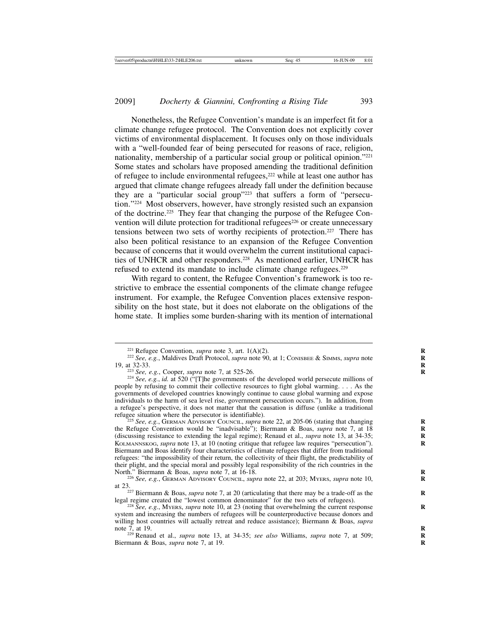Nonetheless, the Refugee Convention's mandate is an imperfect fit for a climate change refugee protocol. The Convention does not explicitly cover victims of environmental displacement. It focuses only on those individuals with a "well-founded fear of being persecuted for reasons of race, religion, nationality, membership of a particular social group or political opinion."221 Some states and scholars have proposed amending the traditional definition of refugee to include environmental refugees,<sup>222</sup> while at least one author has argued that climate change refugees already fall under the definition because they are a "particular social group"223 that suffers a form of "persecution."224 Most observers, however, have strongly resisted such an expansion of the doctrine.225 They fear that changing the purpose of the Refugee Convention will dilute protection for traditional refugees<sup>226</sup> or create unnecessary tensions between two sets of worthy recipients of protection.<sup>227</sup> There has also been political resistance to an expansion of the Refugee Convention because of concerns that it would overwhelm the current institutional capacities of UNHCR and other responders.228 As mentioned earlier, UNHCR has refused to extend its mandate to include climate change refugees.229

With regard to content, the Refugee Convention's framework is too restrictive to embrace the essential components of the climate change refugee instrument. For example, the Refugee Convention places extensive responsibility on the host state, but it does not elaborate on the obligations of the home state. It implies some burden-sharing with its mention of international

<sup>25</sup> See, e.g., GERMAN ADVISORY COUNCIL, *supra* note 22, at 205-06 (stating that changing the Refugee Convention would be "inadvisable"); Biermann & Boas, *supra* note 7, at 18 **R** (discussing resistance to extending the legal regime); Renaud et al., *supra* note 13, at 34-35; **R** KOLMANNSKOG, *supra* note 13, at 10 (noting critique that refugee law requires "persecution"). Biermann and Boas identify four characteristics of climate refugees that differ from traditional refugees: "the impossibility of their return, the collectivity of their flight, the predictability of their plight, and the special moral and possibly legal responsibility of the rich countries in the North." Biermann & Boas, *supra* note 7, at  $16-18$ .

<sup>&</sup>lt;sup>221</sup> Refugee Convention, *supra* note 3, art. 1(A)(2).<br><sup>222</sup> *See*, *e.g.*, Maldives Draft Protocol, *supra* note 90, at 1; CONISBEE & SIMMS, *supra* note 19, at 32-33.<br><sup>223</sup> *See*, *e.g.*, Cooper, *supra* note 7, at 525

<sup>&</sup>lt;sup>224</sup> *See, e.g., id.* at 520 ("[T]he governments of the developed world persecute millions of people by refusing to commit their collective resources to fight global warming. . . . As the governments of developed countries knowingly continue to cause global warming and expose individuals to the harm of sea level rise, government persecution occurs."). In addition, from a refugee's perspective, it does not matter that the causation is diffuse (unlike a traditional

<sup>&</sup>lt;sup>226</sup> See, e.g., GERMAN ADVISORY COUNCIL, *supra* note 22, at 203; MYERS, *supra* note 10,

at 23.<br><sup>227</sup> Biermann & Boas, *supra* note 7, at 20 (articulating that there may be a trade-off as the legal regime created the "lowest common denominator" for the two sets of refugees).

<sup>&</sup>lt;sup>228</sup> *See, e.g.*, MYERS, *supra* note 10, at 23 (noting that overwhelming the current response system and increasing the numbers of refugees will be counterproductive because donors and willing host countries will actually retreat and reduce assistance); Biermann & Boas, *supra* note 7, at 19.

<sup>&</sup>lt;sup>229</sup> Renaud et al., *supra* note 13, at 34-35; *see also* Williams, *supra* note 7, at 509; Biermann & Boas, *supra* note 7, at 19. **R**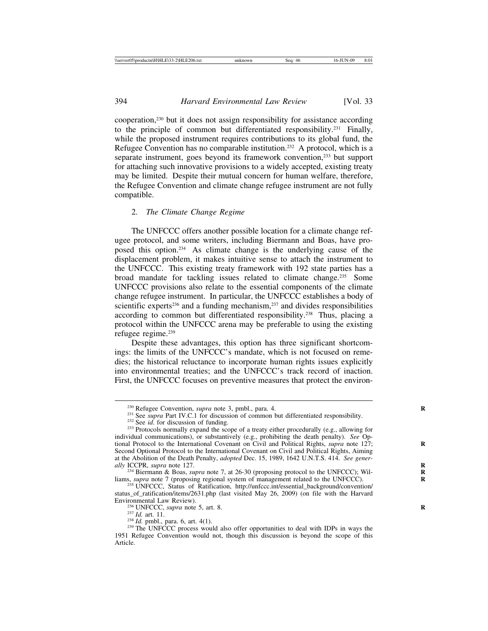cooperation,230 but it does not assign responsibility for assistance according to the principle of common but differentiated responsibility.231 Finally, while the proposed instrument requires contributions to its global fund, the Refugee Convention has no comparable institution.<sup>232</sup> A protocol, which is a separate instrument, goes beyond its framework convention,233 but support for attaching such innovative provisions to a widely accepted, existing treaty may be limited. Despite their mutual concern for human welfare, therefore, the Refugee Convention and climate change refugee instrument are not fully compatible.

## 2. *The Climate Change Regime*

The UNFCCC offers another possible location for a climate change refugee protocol, and some writers, including Biermann and Boas, have proposed this option.234 As climate change is the underlying cause of the displacement problem, it makes intuitive sense to attach the instrument to the UNFCCC. This existing treaty framework with 192 state parties has a broad mandate for tackling issues related to climate change.235 Some UNFCCC provisions also relate to the essential components of the climate change refugee instrument. In particular, the UNFCCC establishes a body of scientific experts<sup>236</sup> and a funding mechanism,<sup>237</sup> and divides responsibilities according to common but differentiated responsibility.238 Thus, placing a protocol within the UNFCCC arena may be preferable to using the existing refugee regime.239

Despite these advantages, this option has three significant shortcomings: the limits of the UNFCCC's mandate, which is not focused on remedies; the historical reluctance to incorporate human rights issues explicitly into environmental treaties; and the UNFCCC's track record of inaction. First, the UNFCCC focuses on preventive measures that protect the environ-

<sup>&</sup>lt;sup>230</sup> Refugee Convention, *supra* note 3, pmbl., para. 4.<br><sup>231</sup> See *supra* Part IV.C.1 for discussion of common but differentiated responsibility.<br><sup>232</sup> See *id.* for discussion of funding.<br><sup>232</sup> Protocols normally expan

individual communications), or substantively (e.g., prohibiting the death penalty). *See* Optional Protocol to the International Covenant on Civil and Political Rights, *supra* note 127; **R** Second Optional Protocol to the International Covenant on Civil and Political Rights, Aiming at the Abolition of the Death Penalty, *adopted* Dec. 15, 1989, 1642 U.N.T.S. 414. *See gener-*

<sup>&</sup>lt;sup>234</sup> Biermann & Boas, *supra* note 7, at 26-30 (proposing protocol to the UNFCCC); Williams, *supra* note 7 (proposing regional system of management related to the UNFCCC).<br><sup>235</sup> UNFCCC, Status of Ratification, http://unfccc.int/essential\_background/convention/

status\_of\_ratification/items/2631.php (last visited May 26, 2009) (on file with the Harvard Environmental Law Review).

<sup>&</sup>lt;sup>236</sup> UNFCCC, *supra* note 5, art. 8.<br><sup>237</sup> *Id.* art. 11.<br><sup>238</sup> *Id.* pmbl., para. 6, art. 4(1).<br><sup>238</sup> The UNFCCC process would also offer opportunities to deal with IDPs in ways the 1951 Refugee Convention would not, though this discussion is beyond the scope of this Article.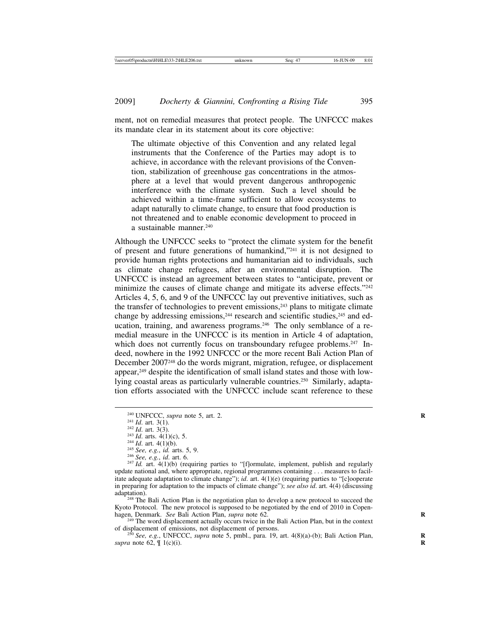ment, not on remedial measures that protect people. The UNFCCC makes its mandate clear in its statement about its core objective:

The ultimate objective of this Convention and any related legal instruments that the Conference of the Parties may adopt is to achieve, in accordance with the relevant provisions of the Convention, stabilization of greenhouse gas concentrations in the atmosphere at a level that would prevent dangerous anthropogenic interference with the climate system. Such a level should be achieved within a time-frame sufficient to allow ecosystems to adapt naturally to climate change, to ensure that food production is not threatened and to enable economic development to proceed in a sustainable manner.240

Although the UNFCCC seeks to "protect the climate system for the benefit of present and future generations of humankind,"241 it is not designed to provide human rights protections and humanitarian aid to individuals, such as climate change refugees, after an environmental disruption. The UNFCCC is instead an agreement between states to "anticipate, prevent or minimize the causes of climate change and mitigate its adverse effects."242 Articles 4, 5, 6, and 9 of the UNFCCC lay out preventive initiatives, such as the transfer of technologies to prevent emissions, $243$  plans to mitigate climate change by addressing emissions,<sup>244</sup> research and scientific studies,<sup>245</sup> and education, training, and awareness programs.<sup>246</sup> The only semblance of a remedial measure in the UNFCCC is its mention in Article 4 of adaptation, which does not currently focus on transboundary refugee problems.<sup>247</sup> Indeed, nowhere in the 1992 UNFCCC or the more recent Bali Action Plan of December 2007248 do the words migrant, migration, refugee, or displacement appear,249 despite the identification of small island states and those with lowlying coastal areas as particularly vulnerable countries.250 Similarly, adaptation efforts associated with the UNFCCC include scant reference to these

<sup>248</sup> The Bali Action Plan is the negotiation plan to develop a new protocol to succeed the Kyoto Protocol. The new protocol is supposed to be negotiated by the end of 2010 in Copenhagen, Denmark. *See* Bali Action Plan, *supra* note 62. <sup>249</sup> The word displacement actually occurs twice in the Bali Action Plan, but in the context

of displacement of emissions, not displacement of persons. <sup>250</sup> *See, e.g.*, UNFCCC, *supra* note 5, pmbl., para. 19, art. 4(8)(a)-(b); Bali Action Plan, **<sup>R</sup>**

*supra* note 62, ¶ 1(c)(i). **R**

<sup>&</sup>lt;sup>240</sup> UNFCCC, *supra* note 5, art. 2.<br>
<sup>241</sup> *Id.* art. 3(1).<br>
<sup>242</sup> *Id.* art. 3(3).<br>
<sup>243</sup> *Id.* arts. 4(1)(c), 5.<br>
<sup>243</sup> *Id.* art. 4(1)(b).<br>
<sup>245</sup> *See, e.g., id.* arts. 5, 9.<br>
<sup>246</sup> *See, e.g., id.* art. 6.<br>
<sup>247</sup> *I* update national and, where appropriate, regional programmes containing . . . measures to facilitate adequate adaptation to climate change"); *id*. art. 4(1)(e) (requiring parties to "[c]ooperate in preparing for adaptation to the impacts of climate change"); *see also id*. art. 4(4) (discussing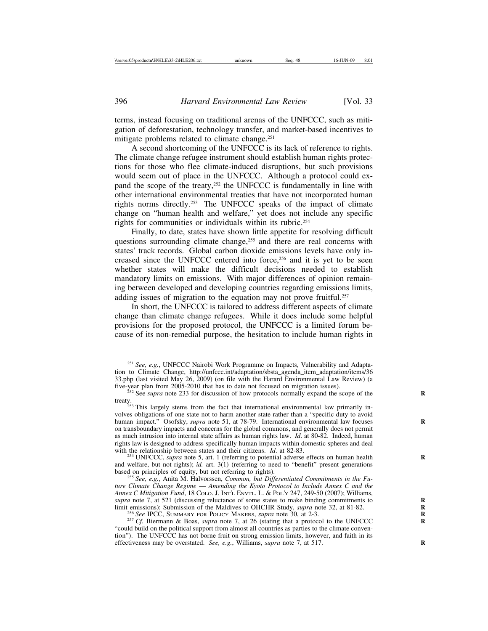terms, instead focusing on traditional arenas of the UNFCCC, such as mitigation of deforestation, technology transfer, and market-based incentives to mitigate problems related to climate change.<sup>251</sup>

A second shortcoming of the UNFCCC is its lack of reference to rights. The climate change refugee instrument should establish human rights protections for those who flee climate-induced disruptions, but such provisions would seem out of place in the UNFCCC. Although a protocol could expand the scope of the treaty,<sup>252</sup> the UNFCCC is fundamentally in line with other international environmental treaties that have not incorporated human rights norms directly.253 The UNFCCC speaks of the impact of climate change on "human health and welfare," yet does not include any specific rights for communities or individuals within its rubric.254

Finally, to date, states have shown little appetite for resolving difficult questions surrounding climate change,<sup>255</sup> and there are real concerns with states' track records. Global carbon dioxide emissions levels have only increased since the UNFCCC entered into force,256 and it is yet to be seen whether states will make the difficult decisions needed to establish mandatory limits on emissions. With major differences of opinion remaining between developed and developing countries regarding emissions limits, adding issues of migration to the equation may not prove fruitful.<sup>257</sup>

In short, the UNFCCC is tailored to address different aspects of climate change than climate change refugees. While it does include some helpful provisions for the proposed protocol, the UNFCCC is a limited forum because of its non-remedial purpose, the hesitation to include human rights in

<sup>254</sup> UNFCCC, *supra* note 5, art. 1 (referring to potential adverse effects on human health and welfare, but not rights);  $id$ . art.  $3(1)$  (referring to need to "benefit" present generations based on principles of equity, but not referring to rights).

<sup>255</sup> See, e.g., Anita M. Halvorssen, *Common, but Differentiated Commitments in the Future Climate Change Regime* — *Amending the Kyoto Protocol to Include Annex C and the Annex C Mitigation Fund*, 18 COLO. J. INT'L ENVTL. L. & POL'Y 247, 249-50 (2007); Williams, *supra* note 7, at 521 (discussing reluctance of some states to make binding commitments to **R** Submission of the Maldives to OHCHR Study, supra note 32, at 81-82.<br>
<sup>256</sup> See IPCC, SUMMARY FOR POLICY MAKERS, supra note 30, at 2-3.<br>
<sup>257</sup> Cf. Biermann & Boas, *supra* note 7, at 26 (stating that a protocol to the UNFCC

"could build on the political support from almost all countries as parties to the climate convention"). The UNFCCC has not borne fruit on strong emission limits, however, and faith in its effectiveness may be overstated. *See, e.g.*, Williams, *supra* note 7, at 517. **R**

<sup>251</sup> *See, e.g.*, UNFCCC Nairobi Work Programme on Impacts, Vulnerability and Adaptation to Climate Change, http://unfccc.int/adaptation/sbsta\_agenda\_item\_adaptation/items/36 33.php (last visited May 26, 2009) (on file with the Harard Environmental Law Review) (a

<sup>&</sup>lt;sup>252</sup> See *supra* note 233 for discussion of how protocols normally expand the scope of the

treaty.<br><sup>253</sup> This largely stems from the fact that international environmental law primarily involves obligations of one state not to harm another state rather than a "specific duty to avoid human impact." Osofsky, *supra* note 51, at 78-79. International environmental law focuses on transboundary impacts and concerns for the global commons, and generally does not permit as much intrusion into internal state affairs as human rights law. *Id*. at 80-82. Indeed, human rights law is designed to address specifically human impacts within domestic spheres and deal with the relationship between states and their citizens.  $Id$  at 82-83.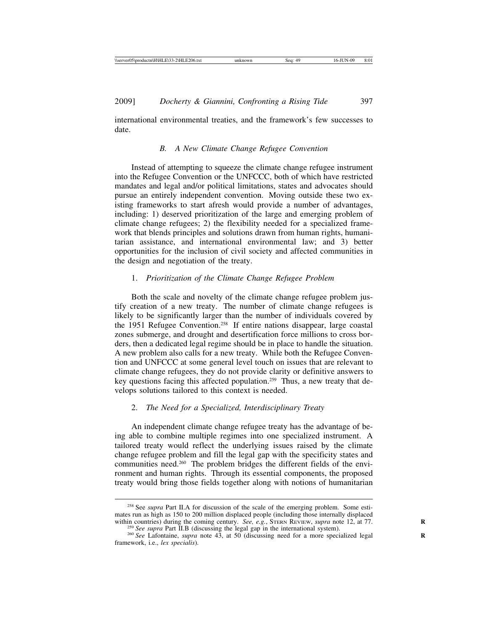international environmental treaties, and the framework's few successes to date.

#### *B. A New Climate Change Refugee Convention*

Instead of attempting to squeeze the climate change refugee instrument into the Refugee Convention or the UNFCCC, both of which have restricted mandates and legal and/or political limitations, states and advocates should pursue an entirely independent convention. Moving outside these two existing frameworks to start afresh would provide a number of advantages, including: 1) deserved prioritization of the large and emerging problem of climate change refugees; 2) the flexibility needed for a specialized framework that blends principles and solutions drawn from human rights, humanitarian assistance, and international environmental law; and 3) better opportunities for the inclusion of civil society and affected communities in the design and negotiation of the treaty.

## 1. *Prioritization of the Climate Change Refugee Problem*

Both the scale and novelty of the climate change refugee problem justify creation of a new treaty. The number of climate change refugees is likely to be significantly larger than the number of individuals covered by the 1951 Refugee Convention.258 If entire nations disappear, large coastal zones submerge, and drought and desertification force millions to cross borders, then a dedicated legal regime should be in place to handle the situation. A new problem also calls for a new treaty. While both the Refugee Convention and UNFCCC at some general level touch on issues that are relevant to climate change refugees, they do not provide clarity or definitive answers to key questions facing this affected population.<sup>259</sup> Thus, a new treaty that develops solutions tailored to this context is needed.

## 2. *The Need for a Specialized, Interdisciplinary Treaty*

An independent climate change refugee treaty has the advantage of being able to combine multiple regimes into one specialized instrument. A tailored treaty would reflect the underlying issues raised by the climate change refugee problem and fill the legal gap with the specificity states and communities need.260 The problem bridges the different fields of the environment and human rights. Through its essential components, the proposed treaty would bring those fields together along with notions of humanitarian

<sup>258</sup> See *supra* Part II.A for discussion of the scale of the emerging problem. Some estimates run as high as 150 to 200 million displaced people (including those internally displaced within countries) during the coming century. *See*, *e.g.*, STERN REVIEW, *supra* note 12, at 77.<br><sup>259</sup> See supra Part II.B (discussing the legal gap in the international system).<br><sup>260</sup> See Lafontaine, *supra* note 43, at

framework, i.e., *lex specialis*).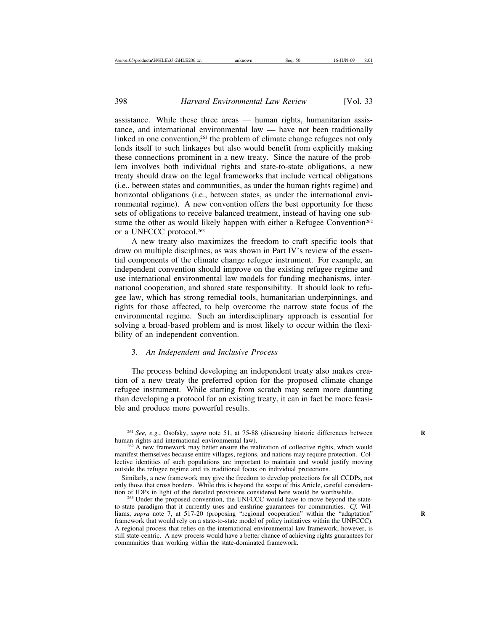assistance. While these three areas — human rights, humanitarian assistance, and international environmental law — have not been traditionally linked in one convention,<sup>261</sup> the problem of climate change refugees not only lends itself to such linkages but also would benefit from explicitly making these connections prominent in a new treaty. Since the nature of the problem involves both individual rights and state-to-state obligations, a new treaty should draw on the legal frameworks that include vertical obligations (i.e., between states and communities, as under the human rights regime) and horizontal obligations (i.e., between states, as under the international environmental regime). A new convention offers the best opportunity for these sets of obligations to receive balanced treatment, instead of having one subsume the other as would likely happen with either a Refugee Convention<sup>262</sup> or a UNFCCC protocol.263

A new treaty also maximizes the freedom to craft specific tools that draw on multiple disciplines, as was shown in Part IV's review of the essential components of the climate change refugee instrument. For example, an independent convention should improve on the existing refugee regime and use international environmental law models for funding mechanisms, international cooperation, and shared state responsibility. It should look to refugee law, which has strong remedial tools, humanitarian underpinnings, and rights for those affected, to help overcome the narrow state focus of the environmental regime. Such an interdisciplinary approach is essential for solving a broad-based problem and is most likely to occur within the flexibility of an independent convention.

#### 3. *An Independent and Inclusive Process*

The process behind developing an independent treaty also makes creation of a new treaty the preferred option for the proposed climate change refugee instrument. While starting from scratch may seem more daunting than developing a protocol for an existing treaty, it can in fact be more feasible and produce more powerful results.

<sup>&</sup>lt;sup>261</sup> *See, e.g.*, Osofsky, *supra* note 51, at 75-88 (discussing historic differences between human rights and international environmental law).

<sup>&</sup>lt;sup>262</sup> A new framework may better ensure the realization of collective rights, which would manifest themselves because entire villages, regions, and nations may require protection. Collective identities of such populations are important to maintain and would justify moving outside the refugee regime and its traditional focus on individual protections.

Similarly, a new framework may give the freedom to develop protections for all CCDPs, not only those that cross borders. While this is beyond the scope of this Article, careful consideration of IDPs in light of the detailed provisions considered here would be worthwhile.<br><sup>263</sup> Under the proposed convention, the UNFCCC would have to move beyond the state-

to-state paradigm that it currently uses and enshrine guarantees for communities. *Cf.* Williams, *supra* note 7, at 517-20 (proposing "regional cooperation" within the "adaptation" framework that would rely on a state-to-state model of policy initiatives within the UNFCCC). A regional process that relies on the international environmental law framework, however, is still state-centric. A new process would have a better chance of achieving rights guarantees for communities than working within the state-dominated framework.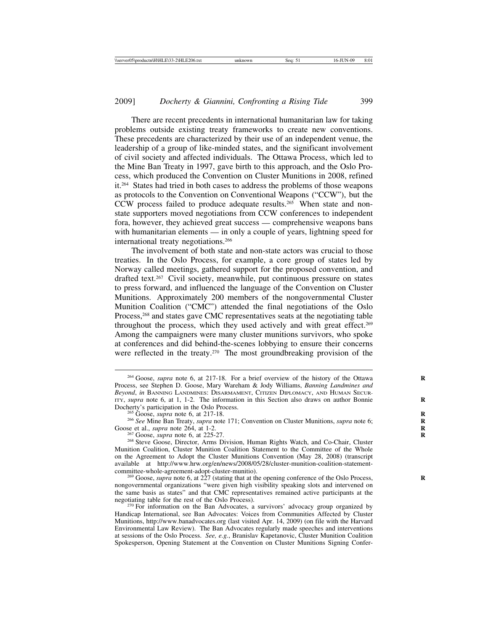There are recent precedents in international humanitarian law for taking problems outside existing treaty frameworks to create new conventions. These precedents are characterized by their use of an independent venue, the leadership of a group of like-minded states, and the significant involvement of civil society and affected individuals. The Ottawa Process, which led to the Mine Ban Treaty in 1997, gave birth to this approach, and the Oslo Process, which produced the Convention on Cluster Munitions in 2008, refined it.264 States had tried in both cases to address the problems of those weapons as protocols to the Convention on Conventional Weapons ("CCW"), but the CCW process failed to produce adequate results.265 When state and nonstate supporters moved negotiations from CCW conferences to independent fora, however, they achieved great success — comprehensive weapons bans with humanitarian elements — in only a couple of years, lightning speed for international treaty negotiations.266

The involvement of both state and non-state actors was crucial to those treaties. In the Oslo Process, for example, a core group of states led by Norway called meetings, gathered support for the proposed convention, and drafted text.267 Civil society, meanwhile, put continuous pressure on states to press forward, and influenced the language of the Convention on Cluster Munitions. Approximately 200 members of the nongovernmental Cluster Munition Coalition ("CMC") attended the final negotiations of the Oslo Process,<sup>268</sup> and states gave CMC representatives seats at the negotiating table throughout the process, which they used actively and with great effect.<sup>269</sup> Among the campaigners were many cluster munitions survivors, who spoke at conferences and did behind-the-scenes lobbying to ensure their concerns were reflected in the treaty.<sup>270</sup> The most groundbreaking provision of the

<sup>265</sup> Goose, *supra* note 6, at 217-18.<br><sup>266</sup> See Mine Ban Treaty, *supra* note 171; Convention on Cluster Munitions, *supra* note 6; Goose et al., *supra* note 264, at 1-2.

<sup>267</sup> Goose, *supra* note 6, at 225-27. <sup>268</sup> Steve Goose, Director, Arms Division, Human Rights Watch, and Co-Chair, Cluster Munition Coalition, Cluster Munition Coalition Statement to the Committee of the Whole on the Agreement to Adopt the Cluster Munitions Convention (May 28, 2008) (transcript available at http://www.hrw.org/en/news/2008/05/28/cluster-munition-coalition-statement-<br>committee-whole-agreement-adopt-cluster-munitio).

<sup>269</sup> Goose, *supra* note 6, at 227 (stating that at the opening conference of the Oslo Process, nongovernmental organizations "were given high visibility speaking slots and intervened on the same basis as states" and that CMC representatives remained active participants at the

<sup>270</sup> For information on the Ban Advocates, a survivors' advocacy group organized by Handicap International, see Ban Advocates: Voices from Communities Affected by Cluster Munitions, http://www.banadvocates.org (last visited Apr. 14, 2009) (on file with the Harvard Environmental Law Review). The Ban Advocates regularly made speeches and interventions at sessions of the Oslo Process. *See, e.g.*, Branislav Kapetanovic, Cluster Munition Coalition Spokesperson, Opening Statement at the Convention on Cluster Munitions Signing Confer-

<sup>&</sup>lt;sup>264</sup> Goose, *supra* note 6, at 217-18. For a brief overview of the history of the Ottawa Process, see Stephen D. Goose, Mary Wareham & Jody Williams, *Banning Landmines and Beyond*, *in* BANNING LANDMINES: DISARMAMENT, CITIZEN DIPLOMACY, AND HUMAN SECUR-ITY, *supra* note 6, at 1, 1-2. The information in this Section also draws on author Bonnie Docherty's participation in the Oslo Process.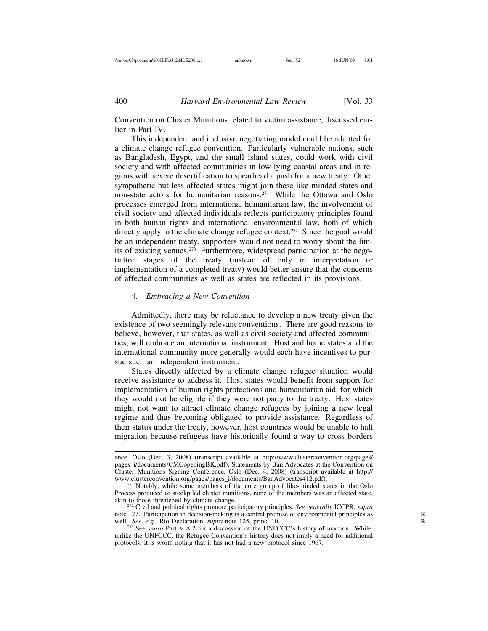Convention on Cluster Munitions related to victim assistance, discussed earlier in Part IV.

This independent and inclusive negotiating model could be adapted for a climate change refugee convention. Particularly vulnerable nations, such as Bangladesh, Egypt, and the small island states, could work with civil society and with affected communities in low-lying coastal areas and in regions with severe desertification to spearhead a push for a new treaty. Other sympathetic but less affected states might join these like-minded states and non-state actors for humanitarian reasons.271 While the Ottawa and Oslo processes emerged from international humanitarian law, the involvement of civil society and affected individuals reflects participatory principles found in both human rights and international environmental law, both of which directly apply to the climate change refugee context.<sup>272</sup> Since the goal would be an independent treaty, supporters would not need to worry about the limits of existing venues.273 Furthermore, widespread participation at the negotiation stages of the treaty (instead of only in interpretation or implementation of a completed treaty) would better ensure that the concerns of affected communities as well as states are reflected in its provisions.

#### 4. *Embracing a New Convention*

Admittedly, there may be reluctance to develop a new treaty given the existence of two seemingly relevant conventions. There are good reasons to believe, however, that states, as well as civil society and affected communities, will embrace an international instrument. Host and home states and the international community more generally would each have incentives to pursue such an independent instrument.

States directly affected by a climate change refugee situation would receive assistance to address it. Host states would benefit from support for implementation of human rights protections and humanitarian aid, for which they would not be eligible if they were not party to the treaty. Host states might not want to attract climate change refugees by joining a new legal regime and thus becoming obligated to provide assistance. Regardless of their status under the treaty, however, host countries would be unable to halt migration because refugees have historically found a way to cross borders

ence, Oslo (Dec. 3, 2008) (transcript available at http://www.clusterconvention.org/pages/ pages\_i/documents/CMCopeningBK.pdf); Statements by Ban Advocates at the Convention on Cluster Munitions Signing Conference, Oslo (Dec. 4, 2008) (transcript available at http://

<sup>&</sup>lt;sup>271</sup> Notably, while some members of the core group of like-minded states in the Oslo Process produced or stockpiled cluster munitions, none of the members was an affected state,

<sup>&</sup>lt;sup>272</sup> Civil and political rights promote participatory principles. *See generally* ICCPR, *supra* note 127. Participation in decision-making is a central premise of environmental principles as **R** well. *See, e.g.*, Rio Declaration, *supra* note 125, princ. 10. <sup>273</sup> See *supra* Part V.A.2 for a discussion of the UNFCCC's history of inaction. While,

unlike the UNFCCC, the Refugee Convention's history does not imply a need for additional protocols, it is worth noting that it has not had a new protocol since 1967.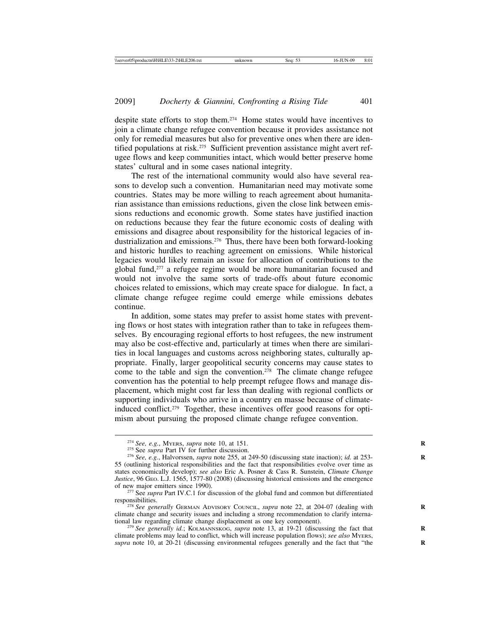despite state efforts to stop them.274 Home states would have incentives to join a climate change refugee convention because it provides assistance not only for remedial measures but also for preventive ones when there are identified populations at risk.<sup>275</sup> Sufficient prevention assistance might avert refugee flows and keep communities intact, which would better preserve home states' cultural and in some cases national integrity.

The rest of the international community would also have several reasons to develop such a convention. Humanitarian need may motivate some countries. States may be more willing to reach agreement about humanitarian assistance than emissions reductions, given the close link between emissions reductions and economic growth. Some states have justified inaction on reductions because they fear the future economic costs of dealing with emissions and disagree about responsibility for the historical legacies of industrialization and emissions.276 Thus, there have been both forward-looking and historic hurdles to reaching agreement on emissions. While historical legacies would likely remain an issue for allocation of contributions to the global fund,277 a refugee regime would be more humanitarian focused and would not involve the same sorts of trade-offs about future economic choices related to emissions, which may create space for dialogue. In fact, a climate change refugee regime could emerge while emissions debates continue.

In addition, some states may prefer to assist home states with preventing flows or host states with integration rather than to take in refugees themselves. By encouraging regional efforts to host refugees, the new instrument may also be cost-effective and, particularly at times when there are similarities in local languages and customs across neighboring states, culturally appropriate. Finally, larger geopolitical security concerns may cause states to come to the table and sign the convention.<sup>278</sup> The climate change refugee convention has the potential to help preempt refugee flows and manage displacement, which might cost far less than dealing with regional conflicts or supporting individuals who arrive in a country en masse because of climateinduced conflict.279 Together, these incentives offer good reasons for optimism about pursuing the proposed climate change refugee convention.

<sup>&</sup>lt;sup>274</sup> See, e.g., MyERS, *supra* note 10, at 151.<br><sup>275</sup> See *supra* Part IV for further discussion.<br><sup>276</sup> See, e.g., Halvorssen, *supra* note 255, at 249-50 (discussing state inaction); *id.* at 253-55 (outlining historical responsibilities and the fact that responsibilities evolve over time as states economically develop); *see also* Eric A. Posner & Cass R. Sunstein, *Climate Change Justice*, 96 GEO. L.J. 1565, 1577-80 (2008) (discussing historical emissions and the emergence

<sup>&</sup>lt;sup>277</sup> See *supra* Part IV.C.1 for discussion of the global fund and common but differentiated responsibilities. <sup>278</sup> *See generally* GERMAN ADVISORY COUNCIL, *supra* note 22, at 204-07 (dealing with **<sup>R</sup>**

climate change and security issues and including a strong recommendation to clarify international law regarding climate change displacement as one key component).

<sup>&</sup>lt;sup>279</sup> See generally id.; KOLMANNSKOG, *supra* note 13, at 19-21 (discussing the fact that climate problems may lead to conflict, which will increase population flows); *see also* MYERS, supra note 10, at 20-21 (discussing environmental refugees generally and the fact that "the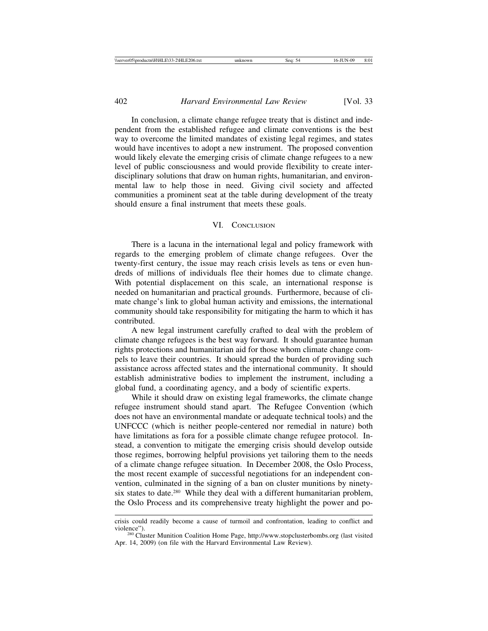In conclusion, a climate change refugee treaty that is distinct and independent from the established refugee and climate conventions is the best way to overcome the limited mandates of existing legal regimes, and states would have incentives to adopt a new instrument. The proposed convention would likely elevate the emerging crisis of climate change refugees to a new level of public consciousness and would provide flexibility to create interdisciplinary solutions that draw on human rights, humanitarian, and environmental law to help those in need. Giving civil society and affected communities a prominent seat at the table during development of the treaty should ensure a final instrument that meets these goals.

#### VI. CONCLUSION

There is a lacuna in the international legal and policy framework with regards to the emerging problem of climate change refugees. Over the twenty-first century, the issue may reach crisis levels as tens or even hundreds of millions of individuals flee their homes due to climate change. With potential displacement on this scale, an international response is needed on humanitarian and practical grounds. Furthermore, because of climate change's link to global human activity and emissions, the international community should take responsibility for mitigating the harm to which it has contributed.

A new legal instrument carefully crafted to deal with the problem of climate change refugees is the best way forward. It should guarantee human rights protections and humanitarian aid for those whom climate change compels to leave their countries. It should spread the burden of providing such assistance across affected states and the international community. It should establish administrative bodies to implement the instrument, including a global fund, a coordinating agency, and a body of scientific experts.

While it should draw on existing legal frameworks, the climate change refugee instrument should stand apart. The Refugee Convention (which does not have an environmental mandate or adequate technical tools) and the UNFCCC (which is neither people-centered nor remedial in nature) both have limitations as fora for a possible climate change refugee protocol. Instead, a convention to mitigate the emerging crisis should develop outside those regimes, borrowing helpful provisions yet tailoring them to the needs of a climate change refugee situation. In December 2008, the Oslo Process, the most recent example of successful negotiations for an independent convention, culminated in the signing of a ban on cluster munitions by ninetysix states to date.<sup>280</sup> While they deal with a different humanitarian problem, the Oslo Process and its comprehensive treaty highlight the power and po-

crisis could readily become a cause of turmoil and confrontation, leading to conflict and violence").<br><sup>280</sup> Cluster Munition Coalition Home Page, http://www.stopclusterbombs.org (last visited

Apr. 14, 2009) (on file with the Harvard Environmental Law Review).